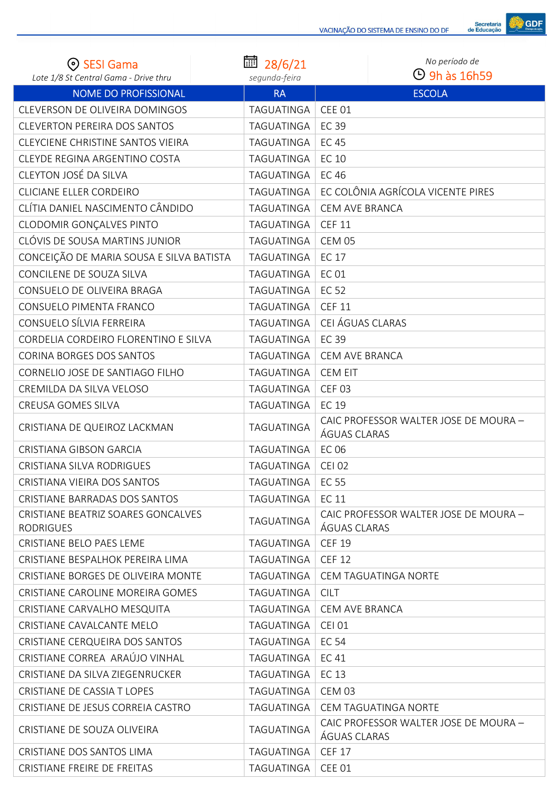

| ⊙ SESI Gama<br>Lote 1/8 St Central Gama - Drive thru   | 氚<br>28/6/21               | No período de<br>$\Theta$ 9h às 16h59                 |
|--------------------------------------------------------|----------------------------|-------------------------------------------------------|
| <b>NOME DO PROFISSIONAL</b>                            | segunda-feira<br><b>RA</b> | <b>ESCOLA</b>                                         |
| CLEVERSON DE OLIVEIRA DOMINGOS                         | TAGUATINGA                 | <b>CEE 01</b>                                         |
| <b>CLEVERTON PEREIRA DOS SANTOS</b>                    | TAGUATINGA                 | <b>EC 39</b>                                          |
| CLEYCIENE CHRISTINE SANTOS VIEIRA                      | TAGUATINGA                 | <b>EC 45</b>                                          |
| CLEYDE REGINA ARGENTINO COSTA                          | TAGUATINGA                 | EC 10                                                 |
| CLEYTON JOSÉ DA SILVA                                  | TAGUATINGA                 | <b>EC 46</b>                                          |
| <b>CLICIANE ELLER CORDEIRO</b>                         | TAGUATINGA                 | EC COLÔNIA AGRÍCOLA VICENTE PIRES                     |
| CLÍTIA DANIEL NASCIMENTO CÂNDIDO                       | TAGUATINGA                 | CEM AVE BRANCA                                        |
| CLODOMIR GONÇALVES PINTO                               | TAGUATINGA                 | <b>CEF 11</b>                                         |
| CLÓVIS DE SOUSA MARTINS JUNIOR                         | TAGUATINGA                 | <b>CEM 05</b>                                         |
| CONCEIÇÃO DE MARIA SOUSA E SILVA BATISTA               | TAGUATINGA                 | EC 17                                                 |
| CONCILENE DE SOUZA SILVA                               | TAGUATINGA                 | <b>EC 01</b>                                          |
| CONSUELO DE OLIVEIRA BRAGA                             | TAGUATINGA                 | <b>EC 52</b>                                          |
| CONSUELO PIMENTA FRANCO                                | TAGUATINGA                 | <b>CEF 11</b>                                         |
| CONSUELO SÍLVIA FERREIRA                               | TAGUATINGA                 | CEI ÁGUAS CLARAS                                      |
| CORDELIA CORDEIRO FLORENTINO E SILVA                   | TAGUATINGA                 | <b>EC 39</b>                                          |
| <b>CORINA BORGES DOS SANTOS</b>                        | TAGUATINGA                 | CEM AVE BRANCA                                        |
| CORNELIO JOSE DE SANTIAGO FILHO                        | TAGUATINGA                 | <b>CEM EIT</b>                                        |
| CREMILDA DA SILVA VELOSO                               | TAGUATINGA                 | <b>CEF 03</b>                                         |
| <b>CREUSA GOMES SILVA</b>                              | TAGUATINGA                 | <b>EC 19</b>                                          |
| CRISTIANA DE QUEIROZ LACKMAN                           | TAGUATINGA                 | CAIC PROFESSOR WALTER JOSE DE MOURA -<br>ÁGUAS CLARAS |
| <b>CRISTIANA GIBSON GARCIA</b>                         | TAGUATINGA                 | EC 06                                                 |
| <b>CRISTIANA SILVA RODRIGUES</b>                       | TAGUATINGA                 | <b>CEI 02</b>                                         |
| CRISTIANA VIEIRA DOS SANTOS                            | TAGUATINGA                 | EC 55                                                 |
| CRISTIANE BARRADAS DOS SANTOS                          | TAGUATINGA                 | <b>EC 11</b>                                          |
| CRISTIANE BEATRIZ SOARES GONCALVES<br><b>RODRIGUES</b> | <b>TAGUATINGA</b>          | CAIC PROFESSOR WALTER JOSE DE MOURA -<br>ÁGUAS CLARAS |
| CRISTIANE BELO PAES LEME                               | TAGUATINGA                 | <b>CEF 19</b>                                         |
| CRISTIANE BESPALHOK PEREIRA LIMA                       | TAGUATINGA                 | <b>CEF 12</b>                                         |
| CRISTIANE BORGES DE OLIVEIRA MONTE                     | TAGUATINGA                 | <b>CEM TAGUATINGA NORTE</b>                           |
| CRISTIANE CAROLINE MOREIRA GOMES                       | TAGUATINGA                 | <b>CILT</b>                                           |
| CRISTIANE CARVALHO MESQUITA                            | TAGUATINGA                 | CEM AVE BRANCA                                        |
| CRISTIANE CAVALCANTE MELO                              | TAGUATINGA                 | <b>CEI 01</b>                                         |
| CRISTIANE CERQUEIRA DOS SANTOS                         | TAGUATINGA                 | <b>EC 54</b>                                          |
| CRISTIANE CORREA ARAÚJO VINHAL                         | TAGUATINGA                 | <b>EC41</b>                                           |
| CRISTIANE DA SILVA ZIEGENRUCKER                        | TAGUATINGA                 | EC 13                                                 |
| CRISTIANE DE CASSIA T LOPES                            | TAGUATINGA                 | <b>CEM 03</b>                                         |
| CRISTIANE DE JESUS CORREIA CASTRO                      | TAGUATINGA                 | <b>CEM TAGUATINGA NORTE</b>                           |
| CRISTIANE DE SOUZA OLIVEIRA                            | TAGUATINGA                 | CAIC PROFESSOR WALTER JOSE DE MOURA -<br>ÁGUAS CLARAS |
| CRISTIANE DOS SANTOS LIMA                              | TAGUATINGA                 | <b>CEF 17</b>                                         |
| CRISTIANE FREIRE DE FREITAS                            | TAGUATINGA                 | <b>CEE 01</b>                                         |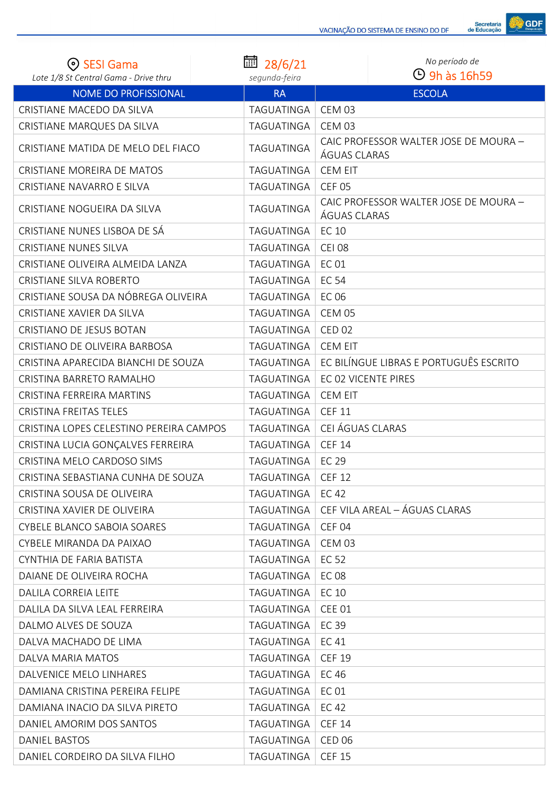

| <b>SESI Gama</b><br>Lote 1/8 St Central Gama - Drive thru | 扁<br>28/6/21<br>segunda-feira | No período de<br>$\Theta$ 9h às 16h59                 |
|-----------------------------------------------------------|-------------------------------|-------------------------------------------------------|
| <b>NOME DO PROFISSIONAL</b>                               | <b>RA</b>                     | <b>ESCOLA</b>                                         |
| CRISTIANE MACEDO DA SILVA                                 | TAGUATINGA                    | <b>CEM 03</b>                                         |
| CRISTIANE MARQUES DA SILVA                                | TAGUATINGA                    | <b>CEM 03</b>                                         |
| CRISTIANE MATIDA DE MELO DEL FIACO                        | <b>TAGUATINGA</b>             | CAIC PROFESSOR WALTER JOSE DE MOURA -<br>ÁGUAS CLARAS |
| CRISTIANE MOREIRA DE MATOS                                | TAGUATINGA                    | <b>CEM EIT</b>                                        |
| CRISTIANE NAVARRO E SILVA                                 | TAGUATINGA                    | <b>CEF 05</b>                                         |
| CRISTIANE NOGUEIRA DA SILVA                               | TAGUATINGA                    | CAIC PROFESSOR WALTER JOSE DE MOURA -<br>ÁGUAS CLARAS |
| CRISTIANE NUNES LISBOA DE SÁ                              | TAGUATINGA                    | <b>EC 10</b>                                          |
| <b>CRISTIANE NUNES SILVA</b>                              | TAGUATINGA                    | <b>CEI 08</b>                                         |
| CRISTIANE OLIVEIRA ALMEIDA LANZA                          | TAGUATINGA                    | <b>EC 01</b>                                          |
| <b>CRISTIANE SILVA ROBERTO</b>                            | TAGUATINGA                    | <b>EC 54</b>                                          |
| CRISTIANE SOUSA DA NÓBREGA OLIVEIRA                       | TAGUATINGA                    | <b>EC 06</b>                                          |
| CRISTIANE XAVIER DA SILVA                                 | TAGUATINGA                    | <b>CEM 05</b>                                         |
| CRISTIANO DE JESUS BOTAN                                  | TAGUATINGA                    | <b>CED 02</b>                                         |
| CRISTIANO DE OLIVEIRA BARBOSA                             | TAGUATINGA                    | <b>CEM EIT</b>                                        |
| CRISTINA APARECIDA BIANCHI DE SOUZA                       | TAGUATINGA                    | EC BILÍNGUE LIBRAS E PORTUGUÊS ESCRITO                |
| CRISTINA BARRETO RAMALHO                                  | TAGUATINGA                    | EC 02 VICENTE PIRES                                   |
| CRISTINA FERREIRA MARTINS                                 | TAGUATINGA                    | <b>CEM EIT</b>                                        |
| <b>CRISTINA FREITAS TELES</b>                             | TAGUATINGA                    | <b>CEF 11</b>                                         |
| CRISTINA LOPES CELESTINO PEREIRA CAMPOS                   | TAGUATINGA                    | CEI ÁGUAS CLARAS                                      |
| CRISTINA LUCIA GONÇALVES FERREIRA                         | TAGUATINGA                    | <b>CEF 14</b>                                         |
| CRISTINA MELO CARDOSO SIMS                                | TAGUATINGA                    | <b>EC 29</b>                                          |
| CRISTINA SEBASTIANA CUNHA DE SOUZA                        | TAGUATINGA                    | <b>CEF 12</b>                                         |
| CRISTINA SOUSA DE OLIVEIRA                                | TAGUATINGA                    | EC 42                                                 |
| CRISTINA XAVIER DE OLIVEIRA                               | TAGUATINGA                    | CEF VILA AREAL - ÁGUAS CLARAS                         |
| <b>CYBELE BLANCO SABOIA SOARES</b>                        | TAGUATINGA                    | CEF <sub>04</sub>                                     |
| CYBELE MIRANDA DA PAIXAO                                  | TAGUATINGA                    | <b>CEM 03</b>                                         |
| CYNTHIA DE FARIA BATISTA                                  | TAGUATINGA                    | EC 52                                                 |
| DAIANE DE OLIVEIRA ROCHA                                  | <b>TAGUATINGA</b>             | <b>EC08</b>                                           |
| DALILA CORREIA LEITE                                      | TAGUATINGA                    | EC 10                                                 |
| DALILA DA SILVA LEAL FERREIRA                             | TAGUATINGA                    | <b>CEE 01</b>                                         |
| DALMO ALVES DE SOUZA                                      | TAGUATINGA                    | EC 39                                                 |
| DALVA MACHADO DE LIMA                                     | TAGUATINGA                    | EC 41                                                 |
| DALVA MARIA MATOS                                         | TAGUATINGA                    | <b>CEF 19</b>                                         |
| DALVENICE MELO LINHARES                                   | TAGUATINGA                    | EC 46                                                 |
| DAMIANA CRISTINA PEREIRA FELIPE                           | TAGUATINGA                    | <b>EC 01</b>                                          |
| DAMIANA INACIO DA SILVA PIRETO                            | TAGUATINGA                    | EC 42                                                 |
| DANIEL AMORIM DOS SANTOS                                  | TAGUATINGA                    | <b>CEF 14</b>                                         |
| DANIEL BASTOS                                             | TAGUATINGA                    | <b>CED 06</b>                                         |
| DANIEL CORDEIRO DA SILVA FILHO                            | TAGUATINGA                    | <b>CEF 15</b>                                         |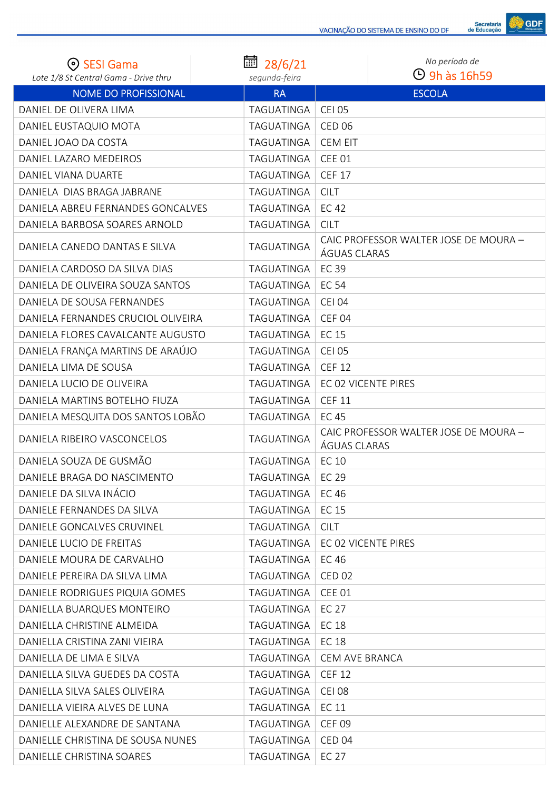

| <b>SESI Gama</b><br>Lote 1/8 St Central Gama - Drive thru | 28/6/21<br>segunda-feira | No período de<br>$\Theta$ 9h às 16h59                 |
|-----------------------------------------------------------|--------------------------|-------------------------------------------------------|
| <b>NOME DO PROFISSIONAL</b>                               | <b>RA</b>                | <b>ESCOLA</b>                                         |
| DANIEL DE OLIVERA LIMA                                    | TAGUATINGA               | <b>CEI 05</b>                                         |
| DANIEL EUSTAQUIO MOTA                                     | TAGUATINGA               | <b>CED 06</b>                                         |
| DANIEL JOAO DA COSTA                                      | TAGUATINGA               | <b>CEM EIT</b>                                        |
| DANIEL LAZARO MEDEIROS                                    | TAGUATINGA               | <b>CEE 01</b>                                         |
| DANIEL VIANA DUARTE                                       | TAGUATINGA               | <b>CEF 17</b>                                         |
| DANIELA DIAS BRAGA JABRANE                                | TAGUATINGA               | <b>CILT</b>                                           |
| DANIELA ABREU FERNANDES GONCALVES                         | TAGUATINGA               | EC 42                                                 |
| DANIELA BARBOSA SOARES ARNOLD                             | TAGUATINGA               | <b>CILT</b>                                           |
| DANIELA CANEDO DANTAS E SILVA                             | TAGUATINGA               | CAIC PROFESSOR WALTER JOSE DE MOURA -<br>ÁGUAS CLARAS |
| DANIELA CARDOSO DA SILVA DIAS                             | TAGUATINGA               | <b>EC 39</b>                                          |
| DANIELA DE OLIVEIRA SOUZA SANTOS                          | TAGUATINGA               | <b>EC 54</b>                                          |
| DANIELA DE SOUSA FERNANDES                                | TAGUATINGA               | <b>CEI 04</b>                                         |
| DANIELA FERNANDES CRUCIOL OLIVEIRA                        | TAGUATINGA               | CEF <sub>04</sub>                                     |
| DANIELA FLORES CAVALCANTE AUGUSTO                         | TAGUATINGA               | <b>EC 15</b>                                          |
| DANIELA FRANÇA MARTINS DE ARAÚJO                          | TAGUATINGA               | <b>CEI 05</b>                                         |
| DANIELA LIMA DE SOUSA                                     | TAGUATINGA               | <b>CEF 12</b>                                         |
| DANIELA LUCIO DE OLIVEIRA                                 | TAGUATINGA               | EC 02 VICENTE PIRES                                   |
| DANIELA MARTINS BOTELHO FIUZA                             | TAGUATINGA               | <b>CEF 11</b>                                         |
| DANIELA MESQUITA DOS SANTOS LOBÃO                         | TAGUATINGA               | <b>EC 45</b>                                          |
| DANIELA RIBEIRO VASCONCELOS                               | TAGUATINGA               | CAIC PROFESSOR WALTER JOSE DE MOURA -<br>ÁGUAS CLARAS |
| DANIELA SOUZA DE GUSMÃO                                   | TAGUATINGA               | <b>EC 10</b>                                          |
| DANIELE BRAGA DO NASCIMENTO                               | TAGUATINGA               | EC 29                                                 |
| DANIELE DA SILVA INÁCIO                                   | TAGUATINGA               | EC 46                                                 |
| DANIELE FERNANDES DA SILVA                                | TAGUATINGA               | EC 15                                                 |
| DANIELE GONCALVES CRUVINEL                                | TAGUATINGA               | <b>CILT</b>                                           |
| DANIELE LUCIO DE FREITAS                                  | TAGUATINGA               | EC 02 VICENTE PIRES                                   |
| DANIELE MOURA DE CARVALHO                                 | TAGUATINGA               | <b>EC 46</b>                                          |
| DANIELE PEREIRA DA SILVA LIMA                             | TAGUATINGA               | <b>CED 02</b>                                         |
| DANIELE RODRIGUES PIQUIA GOMES                            | TAGUATINGA               | <b>CEE 01</b>                                         |
| DANIELLA BUARQUES MONTEIRO                                | TAGUATINGA               | <b>EC 27</b>                                          |
| DANIELLA CHRISTINE ALMEIDA                                | TAGUATINGA               | <b>EC 18</b>                                          |
| DANIELLA CRISTINA ZANI VIEIRA                             | TAGUATINGA               | EC 18                                                 |
| DANIELLA DE LIMA E SILVA                                  | TAGUATINGA               | <b>CEM AVE BRANCA</b>                                 |
| DANIELLA SILVA GUEDES DA COSTA                            | TAGUATINGA               | <b>CEF 12</b>                                         |
| DANIELLA SILVA SALES OLIVEIRA                             | TAGUATINGA               | <b>CEI 08</b>                                         |
| DANIELLA VIEIRA ALVES DE LUNA                             | TAGUATINGA               | <b>EC 11</b>                                          |
| DANIELLE ALEXANDRE DE SANTANA                             | TAGUATINGA               | <b>CEF 09</b>                                         |
| DANIELLE CHRISTINA DE SOUSA NUNES                         | TAGUATINGA               | <b>CED 04</b>                                         |
| DANIELLE CHRISTINA SOARES                                 | TAGUATINGA               | EC 27                                                 |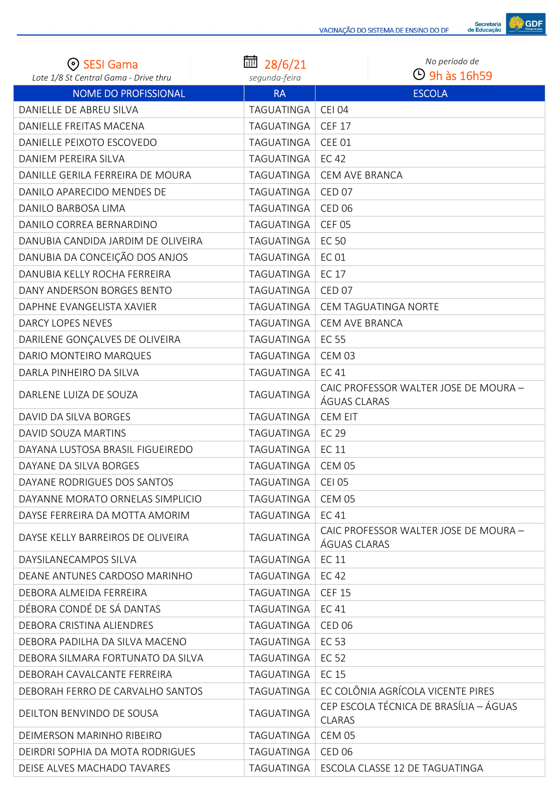

| ⊙ SESI Gama<br>Lote 1/8 St Central Gama - Drive thru | 28/6/21<br>segunda-feira | No período de<br><b>4</b> 9h às 16h59                   |
|------------------------------------------------------|--------------------------|---------------------------------------------------------|
| <b>NOME DO PROFISSIONAL</b>                          | <b>RA</b>                | <b>ESCOLA</b>                                           |
| DANIELLE DE ABREU SILVA                              | TAGUATINGA               | <b>CEI 04</b>                                           |
| DANIELLE FREITAS MACENA                              | TAGUATINGA               | <b>CEF 17</b>                                           |
| DANIELLE PEIXOTO ESCOVEDO                            | TAGUATINGA               | <b>CEE 01</b>                                           |
| DANIEM PEREIRA SILVA                                 | TAGUATINGA               | EC 42                                                   |
| DANILLE GERILA FERREIRA DE MOURA                     | TAGUATINGA               | <b>CEM AVE BRANCA</b>                                   |
| DANILO APARECIDO MENDES DE                           | TAGUATINGA               | CED <sub>07</sub>                                       |
| DANILO BARBOSA LIMA                                  | TAGUATINGA               | <b>CED 06</b>                                           |
| DANILO CORREA BERNARDINO                             | TAGUATINGA               | CEF <sub>05</sub>                                       |
| DANUBIA CANDIDA JARDIM DE OLIVEIRA                   | TAGUATINGA               | <b>EC 50</b>                                            |
| DANUBIA DA CONCEIÇÃO DOS ANJOS                       | TAGUATINGA               | <b>EC 01</b>                                            |
| DANUBIA KELLY ROCHA FERREIRA                         | TAGUATINGA               | <b>EC 17</b>                                            |
| DANY ANDERSON BORGES BENTO                           | TAGUATINGA               | <b>CED 07</b>                                           |
| DAPHNE EVANGELISTA XAVIER                            | TAGUATINGA               | CEM TAGUATINGA NORTE                                    |
| DARCY LOPES NEVES                                    | TAGUATINGA               | CEM AVE BRANCA                                          |
| DARILENE GONÇALVES DE OLIVEIRA                       | TAGUATINGA               | <b>EC 55</b>                                            |
| DARIO MONTEIRO MARQUES                               | TAGUATINGA               | <b>CEM 03</b>                                           |
| DARLA PINHEIRO DA SILVA                              | TAGUATINGA               | <b>EC41</b>                                             |
| DARLENE LUIZA DE SOUZA                               | TAGUATINGA               | CAIC PROFESSOR WALTER JOSE DE MOURA -<br>ÁGUAS CLARAS   |
| DAVID DA SILVA BORGES                                | TAGUATINGA               | <b>CEM EIT</b>                                          |
| DAVID SOUZA MARTINS                                  | TAGUATINGA               | <b>EC 29</b>                                            |
| DAYANA LUSTOSA BRASIL FIGUEIREDO                     | TAGUATINGA               | <b>EC 11</b>                                            |
| DAYANE DA SILVA BORGES                               | <b>TAGUATINGA</b>        | CEM 05                                                  |
| DAYANE RODRIGUES DOS SANTOS                          | TAGUATINGA               | <b>CEI 05</b>                                           |
| DAYANNE MORATO ORNELAS SIMPLICIO                     | TAGUATINGA               | <b>CEM 05</b>                                           |
| DAYSE FERREIRA DA MOTTA AMORIM                       | TAGUATINGA               | <b>EC41</b>                                             |
| DAYSE KELLY BARREIROS DE OLIVEIRA                    | TAGUATINGA               | CAIC PROFESSOR WALTER JOSE DE MOURA -<br>ÁGUAS CLARAS   |
| DAYSILANECAMPOS SILVA                                | TAGUATINGA               | EC 11                                                   |
| DEANE ANTUNES CARDOSO MARINHO                        | TAGUATINGA               | EC 42                                                   |
| DEBORA ALMEIDA FERREIRA                              | TAGUATINGA               | <b>CEF 15</b>                                           |
| DÉBORA CONDÉ DE SÁ DANTAS                            | TAGUATINGA               | <b>EC41</b>                                             |
| DEBORA CRISTINA ALIENDRES                            | TAGUATINGA               | <b>CED 06</b>                                           |
| DEBORA PADILHA DA SILVA MACENO                       | TAGUATINGA               | <b>EC 53</b>                                            |
| DEBORA SILMARA FORTUNATO DA SILVA                    | TAGUATINGA               | <b>EC 52</b>                                            |
| DEBORAH CAVALCANTE FERREIRA                          | TAGUATINGA               | <b>EC 15</b>                                            |
| DEBORAH FERRO DE CARVALHO SANTOS                     | TAGUATINGA               | EC COLÔNIA AGRÍCOLA VICENTE PIRES                       |
| DEILTON BENVINDO DE SOUSA                            | TAGUATINGA               | CEP ESCOLA TÉCNICA DE BRASÍLIA – ÁGUAS<br><b>CLARAS</b> |
| DEIMERSON MARINHO RIBEIRO                            | TAGUATINGA               | CEM 05                                                  |
| DEIRDRI SOPHIA DA MOTA RODRIGUES                     | TAGUATINGA               | <b>CED 06</b>                                           |
| DEISE ALVES MACHADO TAVARES                          | TAGUATINGA               | ESCOLA CLASSE 12 DE TAGUATINGA                          |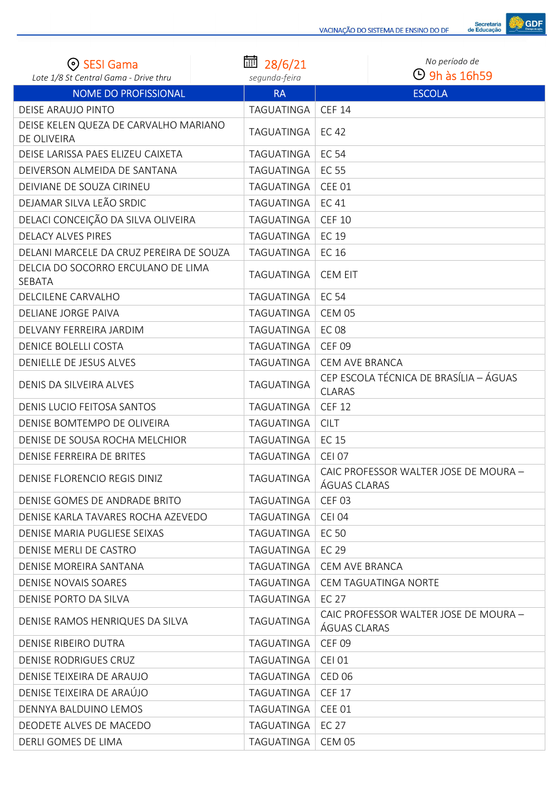

| ⊙ SESI Gama                                          | ■ 28/6/21     | No período de                                           |
|------------------------------------------------------|---------------|---------------------------------------------------------|
| Lote 1/8 St Central Gama - Drive thru                | segunda-feira | $\Theta$ 9h às 16h59                                    |
| <b>NOME DO PROFISSIONAL</b>                          | <b>RA</b>     | <b>ESCOLA</b>                                           |
| <b>DEISE ARAUJO PINTO</b>                            | TAGUATINGA    | <b>CEF 14</b>                                           |
| DEISE KELEN QUEZA DE CARVALHO MARIANO<br>DE OLIVEIRA | TAGUATINGA    | EC 42                                                   |
| DEISE LARISSA PAES ELIZEU CAIXETA                    | TAGUATINGA    | <b>EC 54</b>                                            |
| DEIVERSON ALMEIDA DE SANTANA                         | TAGUATINGA    | <b>EC 55</b>                                            |
| DEIVIANE DE SOUZA CIRINEU                            | TAGUATINGA    | <b>CEE 01</b>                                           |
| DEJAMAR SILVA LEÃO SRDIC                             | TAGUATINGA    | <b>EC41</b>                                             |
| DELACI CONCEIÇÃO DA SILVA OLIVEIRA                   | TAGUATINGA    | <b>CEF 10</b>                                           |
| <b>DELACY ALVES PIRES</b>                            | TAGUATINGA    | <b>EC 19</b>                                            |
| DELANI MARCELE DA CRUZ PEREIRA DE SOUZA              | TAGUATINGA    | <b>EC 16</b>                                            |
| DELCIA DO SOCORRO ERCULANO DE LIMA<br>SEBATA         | TAGUATINGA    | <b>CEM EIT</b>                                          |
| DELCILENE CARVALHO                                   | TAGUATINGA    | <b>EC 54</b>                                            |
| DELIANE JORGE PAIVA                                  | TAGUATINGA    | <b>CEM 05</b>                                           |
| DELVANY FERREIRA JARDIM                              | TAGUATINGA    | <b>EC08</b>                                             |
| <b>DENICE BOLELLI COSTA</b>                          | TAGUATINGA    | <b>CEF 09</b>                                           |
| DENIELLE DE JESUS ALVES                              | TAGUATINGA    | CEM AVE BRANCA                                          |
| DENIS DA SILVEIRA ALVES                              | TAGUATINGA    | CEP ESCOLA TÉCNICA DE BRASÍLIA - ÁGUAS<br><b>CLARAS</b> |
| DENIS LUCIO FEITOSA SANTOS                           | TAGUATINGA    | <b>CEF 12</b>                                           |
| DENISE BOMTEMPO DE OLIVEIRA                          | TAGUATINGA    | <b>CILT</b>                                             |
| DENISE DE SOUSA ROCHA MELCHIOR                       | TAGUATINGA    | <b>EC 15</b>                                            |
| DENISE FERREIRA DE BRITES                            | TAGUATINGA    | <b>CEI 07</b>                                           |
| DENISE FLORENCIO REGIS DINIZ                         | TAGUATINGA    | CAIC PROFESSOR WALTER JOSE DE MOURA -<br>ÁGUAS CLARAS   |
| DENISE GOMES DE ANDRADE BRITO                        | TAGUATINGA    | <b>CEF 03</b>                                           |
| DENISE KARLA TAVARES ROCHA AZEVEDO                   | TAGUATINGA    | <b>CEI 04</b>                                           |
| DENISE MARIA PUGLIESE SEIXAS                         | TAGUATINGA    | EC 50                                                   |
| DENISE MERLI DE CASTRO                               | TAGUATINGA    | <b>EC 29</b>                                            |
| DENISE MOREIRA SANTANA                               | TAGUATINGA    | <b>CEM AVE BRANCA</b>                                   |
| DENISE NOVAIS SOARES                                 | TAGUATINGA    | <b>CEM TAGUATINGA NORTE</b>                             |
| DENISE PORTO DA SILVA                                | TAGUATINGA    | EC 27                                                   |
| DENISE RAMOS HENRIQUES DA SILVA                      | TAGUATINGA    | CAIC PROFESSOR WALTER JOSE DE MOURA -<br>ÁGUAS CLARAS   |
| DENISE RIBEIRO DUTRA                                 | TAGUATINGA    | <b>CEF 09</b>                                           |
| DENISE RODRIGUES CRUZ                                | TAGUATINGA    | <b>CEI 01</b>                                           |
| DENISE TEIXEIRA DE ARAUJO                            | TAGUATINGA    | <b>CED 06</b>                                           |
| DENISE TEIXEIRA DE ARAÚJO                            | TAGUATINGA    | <b>CEF 17</b>                                           |
| DENNYA BALDUINO LEMOS                                | TAGUATINGA    | <b>CEE 01</b>                                           |
| DEODETE ALVES DE MACEDO                              | TAGUATINGA    | EC 27                                                   |
| DERLI GOMES DE LIMA                                  | TAGUATINGA    | CEM 05                                                  |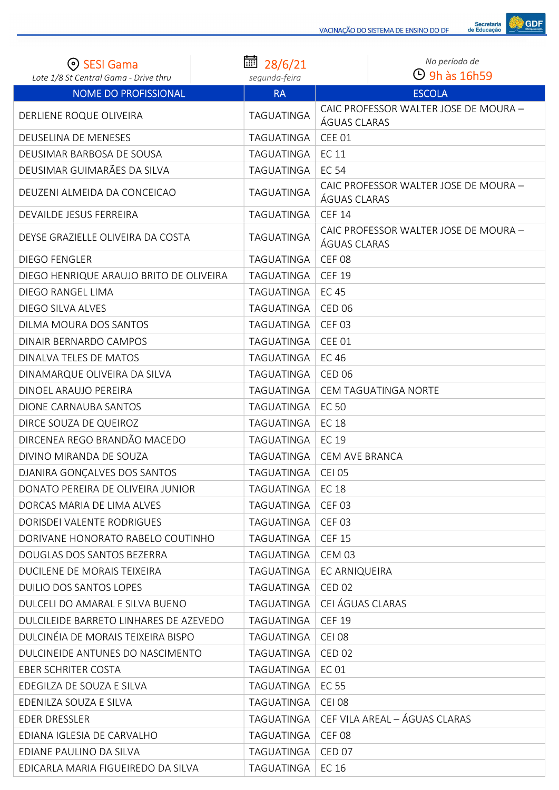

| ⊙ SESI Gama                             | ■ 28/6/21         | No período de                                         |
|-----------------------------------------|-------------------|-------------------------------------------------------|
| Lote 1/8 St Central Gama - Drive thru   | segunda-feira     | $\Theta$ 9h às 16h59                                  |
| <b>NOME DO PROFISSIONAL</b>             | <b>RA</b>         | <b>ESCOLA</b>                                         |
| DERLIENE ROQUE OLIVEIRA                 | TAGUATINGA        | CAIC PROFESSOR WALTER JOSE DE MOURA -<br>ÁGUAS CLARAS |
| DEUSELINA DE MENESES                    | TAGUATINGA        | <b>CEE 01</b>                                         |
| DEUSIMAR BARBOSA DE SOUSA               | TAGUATINGA        | <b>EC 11</b>                                          |
| DEUSIMAR GUIMARÃES DA SILVA             | <b>TAGUATINGA</b> | <b>EC 54</b>                                          |
| DEUZENI ALMEIDA DA CONCEICAO            | TAGUATINGA        | CAIC PROFESSOR WALTER JOSE DE MOURA -<br>ÁGUAS CLARAS |
| DEVAILDE JESUS FERREIRA                 | TAGUATINGA        | <b>CEF 14</b>                                         |
| DEYSE GRAZIELLE OLIVEIRA DA COSTA       | TAGUATINGA        | CAIC PROFESSOR WALTER JOSE DE MOURA -<br>ÁGUAS CLARAS |
| <b>DIEGO FENGLER</b>                    | TAGUATINGA        | <b>CEF 08</b>                                         |
| DIEGO HENRIQUE ARAUJO BRITO DE OLIVEIRA | TAGUATINGA        | <b>CEF 19</b>                                         |
| DIEGO RANGEL LIMA                       | TAGUATINGA        | <b>EC45</b>                                           |
| DIEGO SILVA ALVES                       | TAGUATINGA        | <b>CED 06</b>                                         |
| DILMA MOURA DOS SANTOS                  | TAGUATINGA        | <b>CEF 03</b>                                         |
| DINAIR BERNARDO CAMPOS                  | TAGUATINGA        | <b>CEE 01</b>                                         |
| DINALVA TELES DE MATOS                  | TAGUATINGA        | <b>EC 46</b>                                          |
| DINAMARQUE OLIVEIRA DA SILVA            | TAGUATINGA        | <b>CED 06</b>                                         |
| DINOEL ARAUJO PEREIRA                   | TAGUATINGA        | CEM TAGUATINGA NORTE                                  |
| DIONE CARNAUBA SANTOS                   | TAGUATINGA        | <b>EC 50</b>                                          |
| DIRCE SOUZA DE QUEIROZ                  | TAGUATINGA        | <b>EC 18</b>                                          |
| DIRCENEA REGO BRANDÃO MACEDO            | TAGUATINGA        | <b>EC 19</b>                                          |
| DIVINO MIRANDA DE SOUZA                 | TAGUATINGA        | <b>CEM AVE BRANCA</b>                                 |
| DJANIRA GONÇALVES DOS SANTOS            | <b>TAGUATINGA</b> | CEI 05                                                |
| DONATO PEREIRA DE OLIVEIRA JUNIOR       | TAGUATINGA        | EC 18                                                 |
| DORCAS MARIA DE LIMA ALVES              | TAGUATINGA        | <b>CEF 03</b>                                         |
| DORISDEI VALENTE RODRIGUES              | TAGUATINGA        | <b>CEF 03</b>                                         |
| DORIVANE HONORATO RABELO COUTINHO       | TAGUATINGA        | <b>CEF 15</b>                                         |
| DOUGLAS DOS SANTOS BEZERRA              | TAGUATINGA        | <b>CEM 03</b>                                         |
| DUCILENE DE MORAIS TEIXEIRA             | TAGUATINGA        | EC ARNIQUEIRA                                         |
| <b>DUILIO DOS SANTOS LOPES</b>          | TAGUATINGA        | <b>CED 02</b>                                         |
| DULCELI DO AMARAL E SILVA BUENO         | TAGUATINGA        | CEI ÁGUAS CLARAS                                      |
| DULCILEIDE BARRETO LINHARES DE AZEVEDO  | TAGUATINGA        | <b>CEF 19</b>                                         |
| DULCINÉIA DE MORAIS TEIXEIRA BISPO      | TAGUATINGA        | <b>CEI 08</b>                                         |
| DULCINEIDE ANTUNES DO NASCIMENTO        | TAGUATINGA        | <b>CED 02</b>                                         |
| <b>EBER SCHRITER COSTA</b>              | TAGUATINGA        | <b>EC 01</b>                                          |
| EDEGILZA DE SOUZA E SILVA               | TAGUATINGA        | EC 55                                                 |
| EDENILZA SOUZA E SILVA                  | TAGUATINGA        | <b>CEI 08</b>                                         |
| <b>EDER DRESSLER</b>                    | TAGUATINGA        | CEF VILA AREAL - ÁGUAS CLARAS                         |
| EDIANA IGLESIA DE CARVALHO              | TAGUATINGA        | CEF <sub>08</sub>                                     |
| EDIANE PAULINO DA SILVA                 | TAGUATINGA        | <b>CED 07</b>                                         |
| EDICARLA MARIA FIGUEIREDO DA SILVA      | TAGUATINGA        | EC 16                                                 |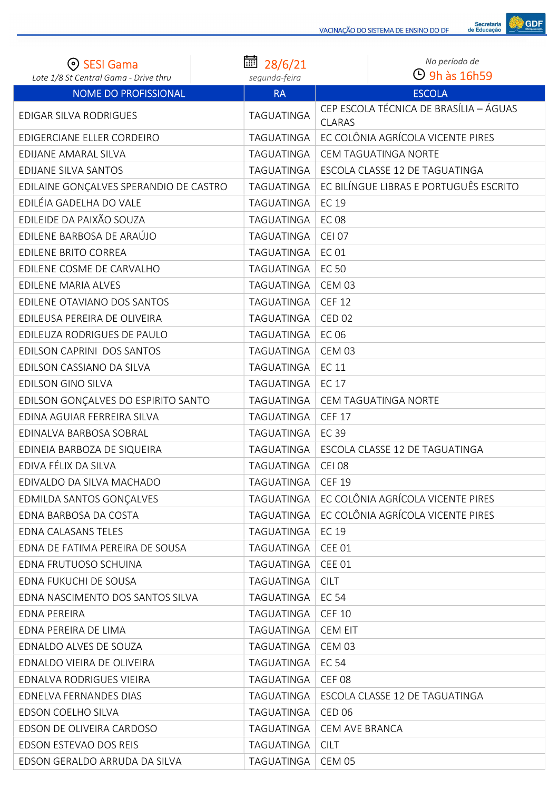

| ⊙ SESI Gama                                                          | 圙 28/6/21                  | No período de<br>$\Theta$ 9h às 16h59  |
|----------------------------------------------------------------------|----------------------------|----------------------------------------|
| Lote 1/8 St Central Gama - Drive thru<br><b>NOME DO PROFISSIONAL</b> | segunda-feira<br><b>RA</b> | <b>ESCOLA</b>                          |
|                                                                      |                            | CEP ESCOLA TÉCNICA DE BRASÍLIA - ÁGUAS |
| <b>EDIGAR SILVA RODRIGUES</b>                                        | TAGUATINGA                 | <b>CLARAS</b>                          |
| EDIGERCIANE ELLER CORDEIRO                                           | TAGUATINGA                 | EC COLÔNIA AGRÍCOLA VICENTE PIRES      |
| EDIJANE AMARAL SILVA                                                 | <b>TAGUATINGA</b>          | CEM TAGUATINGA NORTE                   |
| EDIJANE SILVA SANTOS                                                 | TAGUATINGA                 | ESCOLA CLASSE 12 DE TAGUATINGA         |
| EDILAINE GONÇALVES SPERANDIO DE CASTRO                               | TAGUATINGA                 | EC BILÍNGUE LIBRAS E PORTUGUÊS ESCRITO |
| EDILÉIA GADELHA DO VALE                                              | TAGUATINGA                 | <b>EC 19</b>                           |
| EDILEIDE DA PAIXÃO SOUZA                                             | <b>TAGUATINGA</b>          | <b>EC 08</b>                           |
| EDILENE BARBOSA DE ARAÚJO                                            | TAGUATINGA                 | <b>CEI 07</b>                          |
| <b>EDILENE BRITO CORREA</b>                                          | TAGUATINGA                 | <b>EC 01</b>                           |
| EDILENE COSME DE CARVALHO                                            | TAGUATINGA                 | <b>EC 50</b>                           |
| EDILENE MARIA ALVES                                                  | TAGUATINGA                 | <b>CEM 03</b>                          |
| EDILENE OTAVIANO DOS SANTOS                                          | TAGUATINGA                 | <b>CEF 12</b>                          |
| EDILEUSA PEREIRA DE OLIVEIRA                                         | TAGUATINGA                 | <b>CED 02</b>                          |
| EDILEUZA RODRIGUES DE PAULO                                          | TAGUATINGA                 | <b>EC 06</b>                           |
| EDILSON CAPRINI DOS SANTOS                                           | TAGUATINGA                 | <b>CEM 03</b>                          |
| EDILSON CASSIANO DA SILVA                                            | <b>TAGUATINGA</b>          | <b>EC 11</b>                           |
| EDILSON GINO SILVA                                                   | TAGUATINGA                 | <b>EC 17</b>                           |
| EDILSON GONÇALVES DO ESPIRITO SANTO                                  | <b>TAGUATINGA</b>          | CEM TAGUATINGA NORTE                   |
| EDINA AGUIAR FERREIRA SILVA                                          | TAGUATINGA                 | <b>CEF 17</b>                          |
| EDINALVA BARBOSA SOBRAL                                              | TAGUATINGA                 | EC 39                                  |
| EDINEIA BARBOZA DE SIQUEIRA                                          | TAGUATINGA                 | ESCOLA CLASSE 12 DE TAGUATINGA         |
| EDIVA FÉLIX DA SILVA                                                 | TAGUATINGA                 | <b>CEI 08</b>                          |
| EDIVALDO DA SILVA MACHADO                                            | TAGUATINGA                 | <b>CEF 19</b>                          |
| EDMILDA SANTOS GONÇALVES                                             | TAGUATINGA                 | EC COLÔNIA AGRÍCOLA VICENTE PIRES      |
| EDNA BARBOSA DA COSTA                                                | TAGUATINGA                 | EC COLÔNIA AGRÍCOLA VICENTE PIRES      |
| <b>EDNA CALASANS TELES</b>                                           | TAGUATINGA                 | EC 19                                  |
| EDNA DE FATIMA PEREIRA DE SOUSA                                      | TAGUATINGA                 | <b>CEE 01</b>                          |
| EDNA FRUTUOSO SCHUINA                                                | TAGUATINGA                 | <b>CEE 01</b>                          |
| EDNA FUKUCHI DE SOUSA                                                | TAGUATINGA                 | <b>CILT</b>                            |
| EDNA NASCIMENTO DOS SANTOS SILVA                                     | TAGUATINGA                 | <b>EC 54</b>                           |
| <b>EDNA PEREIRA</b>                                                  | TAGUATINGA                 | <b>CEF 10</b>                          |
| EDNA PEREIRA DE LIMA                                                 | TAGUATINGA                 | CEM EIT                                |
| EDNALDO ALVES DE SOUZA                                               | TAGUATINGA                 | CEM 03                                 |
| EDNALDO VIEIRA DE OLIVEIRA                                           | TAGUATINGA                 | <b>EC 54</b>                           |
| EDNALVA RODRIGUES VIEIRA                                             | TAGUATINGA                 | <b>CEF 08</b>                          |
| EDNELVA FERNANDES DIAS                                               | TAGUATINGA                 | ESCOLA CLASSE 12 DE TAGUATINGA         |
| EDSON COELHO SILVA                                                   | TAGUATINGA                 | <b>CED 06</b>                          |
| EDSON DE OLIVEIRA CARDOSO                                            | TAGUATINGA                 | CEM AVE BRANCA                         |
| EDSON ESTEVAO DOS REIS                                               | TAGUATINGA                 | <b>CILT</b>                            |
| EDSON GERALDO ARRUDA DA SILVA                                        | TAGUATINGA                 | CEM 05                                 |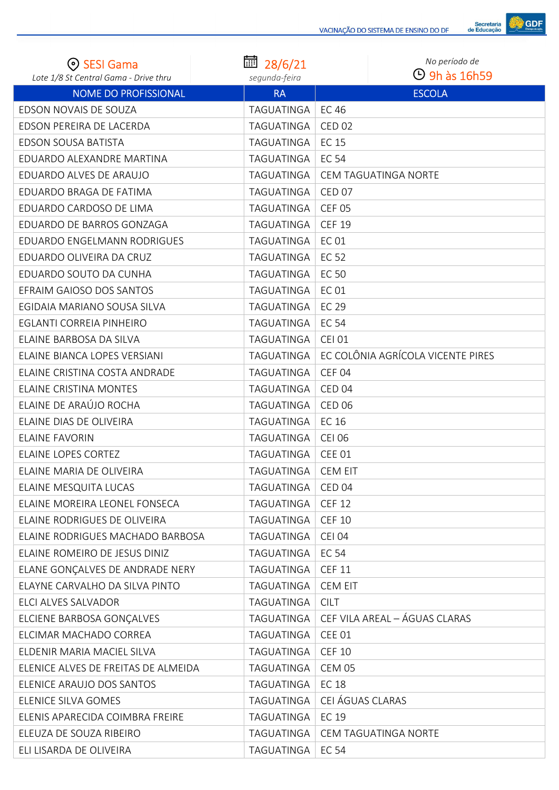

| ⊙ SESI Gama                           | 扁<br>28/6/21  | No período de                     |
|---------------------------------------|---------------|-----------------------------------|
| Lote 1/8 St Central Gama - Drive thru | segunda-feira | $\Theta$ 9h às 16h59              |
| <b>NOME DO PROFISSIONAL</b>           | <b>RA</b>     | <b>ESCOLA</b>                     |
| EDSON NOVAIS DE SOUZA                 | TAGUATINGA    | <b>EC 46</b>                      |
| EDSON PEREIRA DE LACERDA              | TAGUATINGA    | <b>CED 02</b>                     |
| EDSON SOUSA BATISTA                   | TAGUATINGA    | <b>EC 15</b>                      |
| EDUARDO ALEXANDRE MARTINA             | TAGUATINGA    | EC 54                             |
| EDUARDO ALVES DE ARAUJO               | TAGUATINGA    | CEM TAGUATINGA NORTE              |
| EDUARDO BRAGA DE FATIMA               | TAGUATINGA    | <b>CED 07</b>                     |
| EDUARDO CARDOSO DE LIMA               | TAGUATINGA    | <b>CEF 05</b>                     |
| EDUARDO DE BARROS GONZAGA             | TAGUATINGA    | <b>CEF 19</b>                     |
| EDUARDO ENGELMANN RODRIGUES           | TAGUATINGA    | <b>EC 01</b>                      |
| EDUARDO OLIVEIRA DA CRUZ              | TAGUATINGA    | EC 52                             |
| EDUARDO SOUTO DA CUNHA                | TAGUATINGA    | EC 50                             |
| EFRAIM GAIOSO DOS SANTOS              | TAGUATINGA    | <b>EC 01</b>                      |
| EGIDAIA MARIANO SOUSA SILVA           | TAGUATINGA    | EC 29                             |
| EGLANTI CORREIA PINHEIRO              | TAGUATINGA    | <b>EC 54</b>                      |
| ELAINE BARBOSA DA SILVA               | TAGUATINGA    | <b>CEI 01</b>                     |
| ELAINE BIANCA LOPES VERSIANI          | TAGUATINGA    | EC COLÔNIA AGRÍCOLA VICENTE PIRES |
| ELAINE CRISTINA COSTA ANDRADE         | TAGUATINGA    | CEF <sub>04</sub>                 |
| <b>ELAINE CRISTINA MONTES</b>         | TAGUATINGA    | CED <sub>04</sub>                 |
| ELAINE DE ARAÚJO ROCHA                | TAGUATINGA    | <b>CED 06</b>                     |
| ELAINE DIAS DE OLIVEIRA               | TAGUATINGA    | EC 16                             |
| <b>ELAINE FAVORIN</b>                 | TAGUATINGA    | <b>CEI 06</b>                     |
| <b>ELAINE LOPES CORTEZ</b>            | TAGUATINGA    | <b>CEE 01</b>                     |
| FLAINE MARIA DE OLIVEIRA              | TAGUATINGA    | CFM FIT                           |
| ELAINE MESQUITA LUCAS                 | TAGUATINGA    | CED <sub>04</sub>                 |
| ELAINE MOREIRA LEONEL FONSECA         | TAGUATINGA    | <b>CEF 12</b>                     |
| ELAINE RODRIGUES DE OLIVEIRA          | TAGUATINGA    | <b>CEF 10</b>                     |
| ELAINE RODRIGUES MACHADO BARBOSA      | TAGUATINGA    | <b>CEI 04</b>                     |
| ELAINE ROMEIRO DE JESUS DINIZ         | TAGUATINGA    | <b>EC 54</b>                      |
| ELANE GONÇALVES DE ANDRADE NERY       | TAGUATINGA    | <b>CEF 11</b>                     |
| ELAYNE CARVALHO DA SILVA PINTO        | TAGUATINGA    | <b>CEM EIT</b>                    |
| ELCI ALVES SALVADOR                   | TAGUATINGA    | <b>CILT</b>                       |
| ELCIENE BARBOSA GONÇALVES             | TAGUATINGA    | CEF VILA AREAL - ÁGUAS CLARAS     |
| ELCIMAR MACHADO CORREA                | TAGUATINGA    | CEE 01                            |
| ELDENIR MARIA MACIEL SILVA            | TAGUATINGA    | <b>CEF 10</b>                     |
| ELENICE ALVES DE FREITAS DE ALMEIDA   | TAGUATINGA    | <b>CEM 05</b>                     |
| ELENICE ARAUJO DOS SANTOS             | TAGUATINGA    | <b>EC 18</b>                      |
| ELENICE SILVA GOMES                   | TAGUATINGA    | CEI ÁGUAS CLARAS                  |
| ELENIS APARECIDA COIMBRA FREIRE       | TAGUATINGA    | EC 19                             |
| ELEUZA DE SOUZA RIBEIRO               | TAGUATINGA    | CEM TAGUATINGA NORTE              |
| ELI LISARDA DE OLIVEIRA               | TAGUATINGA    | EC 54                             |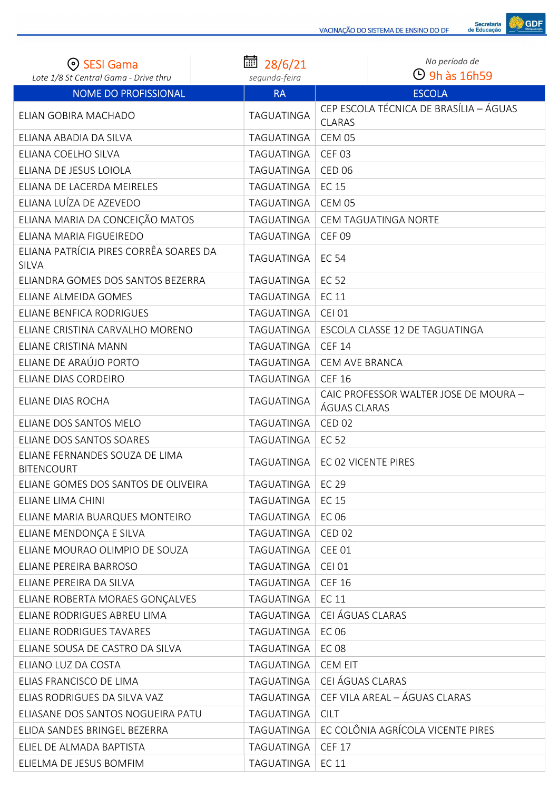

| ⊙ SESI Gama                                            | 扁<br>28/6/21      | No período de                                           |
|--------------------------------------------------------|-------------------|---------------------------------------------------------|
| Lote 1/8 St Central Gama - Drive thru                  | segunda-feira     | $\Theta$ 9h às 16h59                                    |
| NOME DO PROFISSIONAL                                   | <b>RA</b>         | <b>ESCOLA</b>                                           |
| ELIAN GOBIRA MACHADO                                   | <b>TAGUATINGA</b> | CEP ESCOLA TÉCNICA DE BRASÍLIA - ÁGUAS<br><b>CLARAS</b> |
| ELIANA ABADIA DA SILVA                                 | TAGUATINGA        | <b>CEM 05</b>                                           |
| ELIANA COELHO SILVA                                    | TAGUATINGA        | <b>CEF 03</b>                                           |
| ELIANA DE JESUS LOIOLA                                 | TAGUATINGA        | <b>CED 06</b>                                           |
| ELIANA DE LACERDA MEIRELES                             | TAGUATINGA        | <b>EC 15</b>                                            |
| ELIANA LUÍZA DE AZEVEDO                                | TAGUATINGA        | CEM 05                                                  |
| ELIANA MARIA DA CONCEIÇÃO MATOS                        | TAGUATINGA        | <b>CEM TAGUATINGA NORTE</b>                             |
| ELIANA MARIA FIGUEIREDO                                | TAGUATINGA        | <b>CEF 09</b>                                           |
| ELIANA PATRÍCIA PIRES CORRÊA SOARES DA<br><b>SILVA</b> | TAGUATINGA        | <b>EC 54</b>                                            |
| ELIANDRA GOMES DOS SANTOS BEZERRA                      | TAGUATINGA        | <b>EC 52</b>                                            |
| ELIANE ALMEIDA GOMES                                   | TAGUATINGA        | <b>EC 11</b>                                            |
| ELIANE BENFICA RODRIGUES                               | TAGUATINGA        | <b>CEI 01</b>                                           |
| ELIANE CRISTINA CARVALHO MORENO                        | TAGUATINGA        | ESCOLA CLASSE 12 DE TAGUATINGA                          |
| ELIANE CRISTINA MANN                                   | TAGUATINGA        | <b>CEF 14</b>                                           |
| ELIANE DE ARAÚJO PORTO                                 | TAGUATINGA        | <b>CEM AVE BRANCA</b>                                   |
| ELIANE DIAS CORDEIRO                                   | TAGUATINGA        | <b>CEF 16</b>                                           |
| ELIANE DIAS ROCHA                                      | <b>TAGUATINGA</b> | CAIC PROFESSOR WALTER JOSE DE MOURA -<br>ÁGUAS CLARAS   |
| ELIANE DOS SANTOS MELO                                 | TAGUATINGA        | <b>CED 02</b>                                           |
| ELIANE DOS SANTOS SOARES                               | TAGUATINGA        | <b>EC 52</b>                                            |
| ELIANE FERNANDES SOUZA DE LIMA<br><b>BITENCOURT</b>    | TAGUATINGA        | EC 02 VICENTE PIRES                                     |
| ELIANE GOMES DOS SANTOS DE OLIVEIRA                    | TAGUATINGA        | EC 29                                                   |
| ELIANE LIMA CHINI                                      | TAGUATINGA        | EC 15                                                   |
| ELIANE MARIA BUARQUES MONTEIRO                         | TAGUATINGA        | <b>EC 06</b>                                            |
| ELIANE MENDONÇA E SILVA                                | TAGUATINGA        | <b>CED 02</b>                                           |
| ELIANE MOURAO OLIMPIO DE SOUZA                         | TAGUATINGA        | <b>CEE 01</b>                                           |
| ELIANE PEREIRA BARROSO                                 | TAGUATINGA        | <b>CEI 01</b>                                           |
| ELIANE PEREIRA DA SILVA                                | TAGUATINGA        | <b>CEF 16</b>                                           |
| ELIANE ROBERTA MORAES GONÇALVES                        | TAGUATINGA        | EC 11                                                   |
| ELIANE RODRIGUES ABREU LIMA                            | TAGUATINGA        | CEI ÁGUAS CLARAS                                        |
| ELIANE RODRIGUES TAVARES                               | TAGUATINGA        | EC 06                                                   |
| ELIANE SOUSA DE CASTRO DA SILVA                        | TAGUATINGA        | <b>EC 08</b>                                            |
| ELIANO LUZ DA COSTA                                    | TAGUATINGA        | <b>CEM EIT</b>                                          |
| ELIAS FRANCISCO DE LIMA                                | TAGUATINGA        | CEI ÁGUAS CLARAS                                        |
| ELIAS RODRIGUES DA SILVA VAZ                           | TAGUATINGA        | CEF VILA AREAL - ÁGUAS CLARAS                           |
| ELIASANE DOS SANTOS NOGUEIRA PATU                      | TAGUATINGA        | <b>CILT</b>                                             |
| ELIDA SANDES BRINGEL BEZERRA                           | TAGUATINGA        | EC COLÔNIA AGRÍCOLA VICENTE PIRES                       |
| ELIEL DE ALMADA BAPTISTA                               | TAGUATINGA        | <b>CEF 17</b>                                           |
| ELIELMA DE JESUS BOMFIM                                | TAGUATINGA        | EC 11                                                   |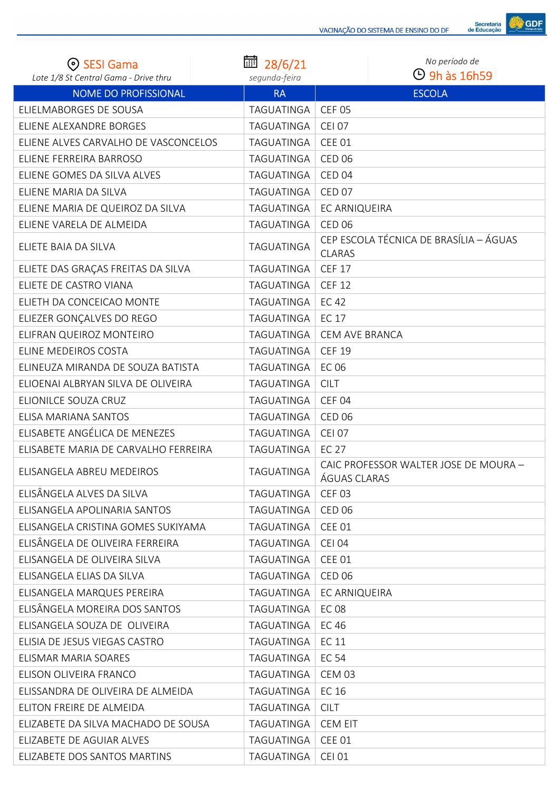

| ⊙ SESI Gama                           | 28/6/21       | No período de<br><b>4</b> 9h às 16h59                   |
|---------------------------------------|---------------|---------------------------------------------------------|
| Lote 1/8 St Central Gama - Drive thru | segunda-feira |                                                         |
| <b>NOME DO PROFISSIONAL</b>           | <b>RA</b>     | <b>ESCOLA</b>                                           |
| ELIELMABORGES DE SOUSA                | TAGUATINGA    | <b>CEF 05</b>                                           |
| ELIENE ALEXANDRE BORGES               | TAGUATINGA    | <b>CEI 07</b>                                           |
| ELIENE ALVES CARVALHO DE VASCONCELOS  | TAGUATINGA    | <b>CEE 01</b>                                           |
| ELIENE FERREIRA BARROSO               | TAGUATINGA    | <b>CED 06</b>                                           |
| ELIENE GOMES DA SILVA ALVES           | TAGUATINGA    | CED <sub>04</sub>                                       |
| ELIENE MARIA DA SILVA                 | TAGUATINGA    | <b>CED 07</b>                                           |
| ELIENE MARIA DE QUEIROZ DA SILVA      | TAGUATINGA    | EC ARNIQUEIRA                                           |
| ELIENE VARELA DE ALMEIDA              | TAGUATINGA    | <b>CED 06</b>                                           |
| ELIETE BAIA DA SILVA                  | TAGUATINGA    | CEP ESCOLA TÉCNICA DE BRASÍLIA - ÁGUAS<br><b>CLARAS</b> |
| ELIETE DAS GRAÇAS FREITAS DA SILVA    | TAGUATINGA    | <b>CEF 17</b>                                           |
| ELIETE DE CASTRO VIANA                | TAGUATINGA    | <b>CEF 12</b>                                           |
| ELIETH DA CONCEICAO MONTE             | TAGUATINGA    | <b>EC42</b>                                             |
| ELIEZER GONÇALVES DO REGO             | TAGUATINGA    | <b>EC 17</b>                                            |
| ELIFRAN QUEIROZ MONTEIRO              | TAGUATINGA    | <b>CEM AVE BRANCA</b>                                   |
| ELINE MEDEIROS COSTA                  | TAGUATINGA    | <b>CEF 19</b>                                           |
| ELINEUZA MIRANDA DE SOUZA BATISTA     | TAGUATINGA    | <b>EC 06</b>                                            |
| ELIOENAI ALBRYAN SILVA DE OLIVEIRA    | TAGUATINGA    | <b>CILT</b>                                             |
| ELIONILCE SOUZA CRUZ                  | TAGUATINGA    | CEF <sub>04</sub>                                       |
| ELISA MARIANA SANTOS                  | TAGUATINGA    | <b>CED 06</b>                                           |
| ELISABETE ANGÉLICA DE MENEZES         | TAGUATINGA    | <b>CEI 07</b>                                           |
| ELISABETE MARIA DE CARVALHO FERREIRA  | TAGUATINGA    | <b>EC 27</b>                                            |
| ELISANGELA ABREU MEDEIROS             | TAGUATINGA    | CAIC PROFESSOR WALTER JOSE DE MOURA -<br>ÁGUAS CLARAS   |
| ELISÂNGELA ALVES DA SILVA             | TAGUATINGA    | <b>CEF 03</b>                                           |
| ELISANGELA APOLINARIA SANTOS          | TAGUATINGA    | <b>CED 06</b>                                           |
| ELISANGELA CRISTINA GOMES SUKIYAMA    | TAGUATINGA    | <b>CEE 01</b>                                           |
| ELISÂNGELA DE OLIVEIRA FERREIRA       | TAGUATINGA    | <b>CEI 04</b>                                           |
| ELISANGELA DE OLIVEIRA SILVA          | TAGUATINGA    | <b>CEE 01</b>                                           |
| ELISANGELA ELIAS DA SILVA             | TAGUATINGA    | <b>CED 06</b>                                           |
| ELISANGELA MARQUES PEREIRA            | TAGUATINGA    | EC ARNIQUEIRA                                           |
| ELISÂNGELA MOREIRA DOS SANTOS         | TAGUATINGA    | <b>EC08</b>                                             |
| ELISANGELA SOUZA DE OLIVEIRA          | TAGUATINGA    | EC 46                                                   |
| ELISIA DE JESUS VIEGAS CASTRO         | TAGUATINGA    | <b>EC 11</b>                                            |
| ELISMAR MARIA SOARES                  | TAGUATINGA    | <b>EC 54</b>                                            |
| ELISON OLIVEIRA FRANCO                | TAGUATINGA    | CEM 03                                                  |
| ELISSANDRA DE OLIVEIRA DE ALMEIDA     | TAGUATINGA    | EC 16                                                   |
| ELITON FREIRE DE ALMEIDA              | TAGUATINGA    | <b>CILT</b>                                             |
| ELIZABETE DA SILVA MACHADO DE SOUSA   | TAGUATINGA    | <b>CEM EIT</b>                                          |
| ELIZABETE DE AGUIAR ALVES             | TAGUATINGA    | <b>CEE 01</b>                                           |
| ELIZABETE DOS SANTOS MARTINS          | TAGUATINGA    | <b>CEI 01</b>                                           |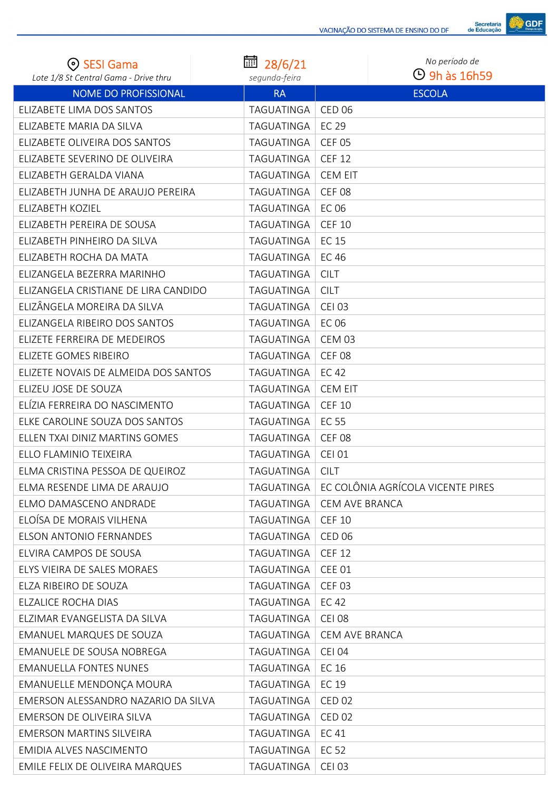

| ⊙ SESI Gama                                                          | 圃<br>28/6/21               | No período de<br>$\Theta$ 9h às 16h59 |
|----------------------------------------------------------------------|----------------------------|---------------------------------------|
| Lote 1/8 St Central Gama - Drive thru<br><b>NOME DO PROFISSIONAL</b> | segunda-feira<br><b>RA</b> | <b>ESCOLA</b>                         |
| ELIZABETE LIMA DOS SANTOS                                            | TAGUATINGA                 | <b>CED 06</b>                         |
| ELIZABETE MARIA DA SILVA                                             | TAGUATINGA                 | EC 29                                 |
| ELIZABETE OLIVEIRA DOS SANTOS                                        | TAGUATINGA                 | <b>CEF 05</b>                         |
| ELIZABETE SEVERINO DE OLIVEIRA                                       | TAGUATINGA                 | <b>CEF 12</b>                         |
| ELIZABETH GERALDA VIANA                                              | <b>TAGUATINGA</b>          | <b>CEM EIT</b>                        |
| ELIZABETH JUNHA DE ARAUJO PEREIRA                                    | TAGUATINGA                 | <b>CEF 08</b>                         |
| ELIZABETH KOZIEL                                                     | <b>TAGUATINGA</b>          | EC 06                                 |
| ELIZABETH PEREIRA DE SOUSA                                           | TAGUATINGA                 | <b>CEF 10</b>                         |
| ELIZABETH PINHEIRO DA SILVA                                          | TAGUATINGA                 | <b>EC 15</b>                          |
| ELIZABETH ROCHA DA MATA                                              | TAGUATINGA                 | <b>EC 46</b>                          |
| ELIZANGELA BEZERRA MARINHO                                           | TAGUATINGA                 | <b>CILT</b>                           |
| ELIZANGELA CRISTIANE DE LIRA CANDIDO                                 | TAGUATINGA                 | <b>CILT</b>                           |
| ELIZÂNGELA MOREIRA DA SILVA                                          | TAGUATINGA                 | <b>CEI 03</b>                         |
| ELIZANGELA RIBEIRO DOS SANTOS                                        | TAGUATINGA                 | <b>EC 06</b>                          |
| ELIZETE FERREIRA DE MEDEIROS                                         | TAGUATINGA                 | <b>CEM 03</b>                         |
| ELIZETE GOMES RIBEIRO                                                | <b>TAGUATINGA</b>          | <b>CEF 08</b>                         |
| ELIZETE NOVAIS DE ALMEIDA DOS SANTOS                                 | TAGUATINGA                 | EC 42                                 |
| ELIZEU JOSE DE SOUZA                                                 | TAGUATINGA                 | <b>CEM EIT</b>                        |
| ELÍZIA FERREIRA DO NASCIMENTO                                        | TAGUATINGA                 | <b>CEF 10</b>                         |
| ELKE CAROLINE SOUZA DOS SANTOS                                       | TAGUATINGA                 | <b>EC 55</b>                          |
| ELLEN TXAI DINIZ MARTINS GOMES                                       | TAGUATINGA                 | <b>CEF 08</b>                         |
| ELLO FLAMINIO TEIXEIRA                                               | TAGUATINGA                 | <b>CEI 01</b>                         |
| ELMA CRISTINA PESSOA DE QUEIROZ                                      | TAGUATINGA                 | <b>CILT</b>                           |
| ELMA RESENDE LIMA DE ARAUJO                                          | TAGUATINGA                 | EC COLÔNIA AGRÍCOLA VICENTE PIRES     |
| ELMO DAMASCENO ANDRADE                                               | TAGUATINGA                 | <b>CEM AVE BRANCA</b>                 |
| ELOÍSA DE MORAIS VILHENA                                             | TAGUATINGA                 | <b>CEF 10</b>                         |
| <b>ELSON ANTONIO FERNANDES</b>                                       | TAGUATINGA                 | <b>CED 06</b>                         |
| ELVIRA CAMPOS DE SOUSA                                               | TAGUATINGA                 | <b>CEF 12</b>                         |
| ELYS VIEIRA DE SALES MORAES                                          | TAGUATINGA                 | <b>CEE 01</b>                         |
| ELZA RIBEIRO DE SOUZA                                                | TAGUATINGA                 | <b>CEF 03</b>                         |
| ELZALICE ROCHA DIAS                                                  | TAGUATINGA                 | <b>EC 42</b>                          |
| ELZIMAR EVANGELISTA DA SILVA                                         | TAGUATINGA                 | <b>CEI 08</b>                         |
| <b>EMANUEL MARQUES DE SOUZA</b>                                      | TAGUATINGA                 | CEM AVE BRANCA                        |
| EMANUELE DE SOUSA NOBREGA                                            | TAGUATINGA                 | <b>CEI 04</b>                         |
| <b>EMANUELLA FONTES NUNES</b>                                        | TAGUATINGA                 | EC 16                                 |
| EMANUELLE MENDONÇA MOURA                                             | TAGUATINGA                 | EC 19                                 |
| EMERSON ALESSANDRO NAZARIO DA SILVA                                  | TAGUATINGA                 | <b>CED 02</b>                         |
| EMERSON DE OLIVEIRA SILVA                                            | TAGUATINGA                 | <b>CED 02</b>                         |
| <b>EMERSON MARTINS SILVEIRA</b>                                      | TAGUATINGA                 | EC 41                                 |
| EMIDIA ALVES NASCIMENTO                                              | TAGUATINGA                 | <b>EC 52</b>                          |
| EMILE FELIX DE OLIVEIRA MARQUES                                      | TAGUATINGA                 | <b>CEI 03</b>                         |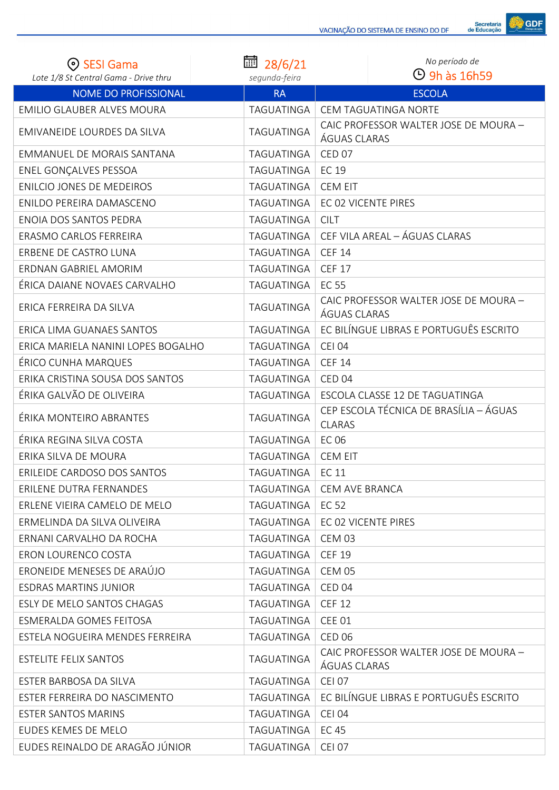| ⊙ SESI Gama                           | ■ 28/6/21         | No período de                                           |
|---------------------------------------|-------------------|---------------------------------------------------------|
| Lote 1/8 St Central Gama - Drive thru | segunda-feira     | $\Theta$ 9h às 16h59                                    |
| NOME DO PROFISSIONAL                  | <b>RA</b>         | <b>ESCOLA</b>                                           |
| EMILIO GLAUBER ALVES MOURA            | TAGUATINGA        | CEM TAGUATINGA NORTE                                    |
| EMIVANEIDE LOURDES DA SILVA           | TAGUATINGA        | CAIC PROFESSOR WALTER JOSE DE MOURA -<br>ÁGUAS CLARAS   |
| EMMANUEL DE MORAIS SANTANA            | TAGUATINGA        | CED <sub>07</sub>                                       |
| ENEL GONÇALVES PESSOA                 | TAGUATINGA        | <b>EC 19</b>                                            |
| ENILCIO JONES DE MEDEIROS             | TAGUATINGA        | <b>CEM EIT</b>                                          |
| ENILDO PEREIRA DAMASCENO              | TAGUATINGA        | EC 02 VICENTE PIRES                                     |
| ENOIA DOS SANTOS PEDRA                | TAGUATINGA        | <b>CILT</b>                                             |
| ERASMO CARLOS FERREIRA                | TAGUATINGA        | CEF VILA AREAL - ÁGUAS CLARAS                           |
| ERBENE DE CASTRO LUNA                 | TAGUATINGA        | <b>CEF 14</b>                                           |
| ERDNAN GABRIEL AMORIM                 | TAGUATINGA        | <b>CEF 17</b>                                           |
| ÉRICA DAIANE NOVAES CARVALHO          | <b>TAGUATINGA</b> | <b>EC 55</b>                                            |
| ERICA FERREIRA DA SILVA               | <b>TAGUATINGA</b> | CAIC PROFESSOR WALTER JOSE DE MOURA -<br>ÁGUAS CLARAS   |
| ERICA LIMA GUANAES SANTOS             | TAGUATINGA        | EC BILÍNGUE LIBRAS E PORTUGUÊS ESCRITO                  |
| ERICA MARIELA NANINI LOPES BOGALHO    | TAGUATINGA        | <b>CEI 04</b>                                           |
| ÉRICO CUNHA MARQUES                   | TAGUATINGA        | <b>CEF 14</b>                                           |
| ERIKA CRISTINA SOUSA DOS SANTOS       | TAGUATINGA        | CED <sub>04</sub>                                       |
| ÉRIKA GALVÃO DE OLIVEIRA              | TAGUATINGA        | ESCOLA CLASSE 12 DE TAGUATINGA                          |
| ÉRIKA MONTEIRO ABRANTES               | TAGUATINGA        | CEP ESCOLA TÉCNICA DE BRASÍLIA - ÁGUAS<br><b>CLARAS</b> |
| ÉRIKA REGINA SILVA COSTA              | TAGUATINGA        | <b>EC 06</b>                                            |
| ERIKA SILVA DE MOURA                  | TAGUATINGA        | <b>CEM EIT</b>                                          |
| ERILEIDE CARDOSO DOS SANTOS           | TAGUATINGA        | <b>EC 11</b>                                            |
| ERILENE DUTRA FERNANDES               | TAGUATINGA        | <b>CEM AVE BRANCA</b>                                   |
| ERLENE VIEIRA CAMELO DE MELO          | TAGUATINGA        | EC 52                                                   |
| ERMELINDA DA SILVA OLIVEIRA           | TAGUATINGA        | EC 02 VICENTE PIRES                                     |
| ERNANI CARVALHO DA ROCHA              | TAGUATINGA        | CEM 03                                                  |
| ERON LOURENCO COSTA                   | TAGUATINGA        | <b>CEF 19</b>                                           |
| ERONEIDE MENESES DE ARAÚJO            | TAGUATINGA        | <b>CEM 05</b>                                           |
| <b>ESDRAS MARTINS JUNIOR</b>          | TAGUATINGA        | CED <sub>04</sub>                                       |
| ESLY DE MELO SANTOS CHAGAS            | TAGUATINGA        | <b>CEF 12</b>                                           |
| ESMERALDA GOMES FEITOSA               | TAGUATINGA        | <b>CEE 01</b>                                           |
| ESTELA NOGUEIRA MENDES FERREIRA       | TAGUATINGA        | <b>CED 06</b>                                           |
| <b>ESTELITE FELIX SANTOS</b>          | TAGUATINGA        | CAIC PROFESSOR WALTER JOSE DE MOURA -<br>ÁGUAS CLARAS   |
| ESTER BARBOSA DA SILVA                | TAGUATINGA        | <b>CEI 07</b>                                           |
| ESTER FERREIRA DO NASCIMENTO          | TAGUATINGA        | EC BILÍNGUE LIBRAS E PORTUGUÊS ESCRITO                  |
| <b>ESTER SANTOS MARINS</b>            | TAGUATINGA        | <b>CEI 04</b>                                           |
| EUDES KEMES DE MELO                   | TAGUATINGA        | EC 45                                                   |
| EUDES REINALDO DE ARAGÃO JÚNIOR       | TAGUATINGA        | <b>CEI 07</b>                                           |

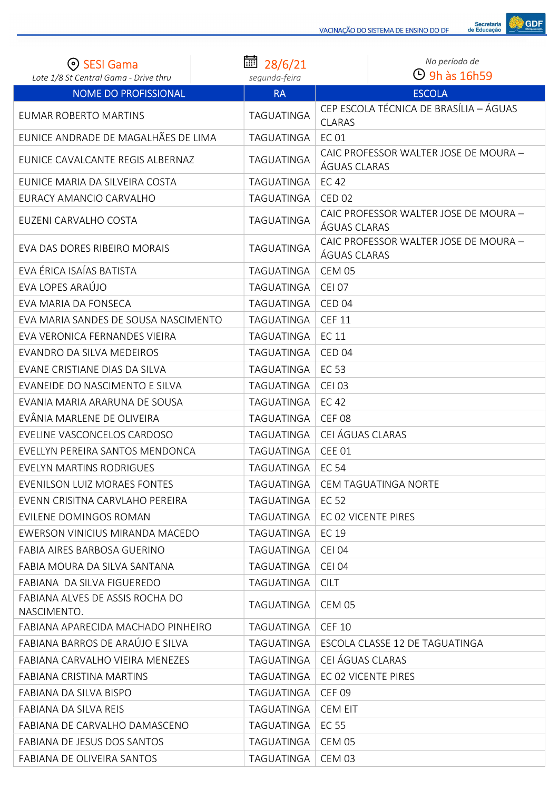

| (၈) SESI Gama                                  | 靣<br>28/6/21  | No período de                                           |
|------------------------------------------------|---------------|---------------------------------------------------------|
| Lote 1/8 St Central Gama - Drive thru          | segunda-feira | $\Theta$ 9h às 16h59                                    |
| NOME DO PROFISSIONAL                           | <b>RA</b>     | <b>ESCOLA</b>                                           |
| <b>EUMAR ROBERTO MARTINS</b>                   | TAGUATINGA    | CEP ESCOLA TÉCNICA DE BRASÍLIA - ÁGUAS<br><b>CLARAS</b> |
| EUNICE ANDRADE DE MAGALHÃES DE LIMA            | TAGUATINGA    | <b>EC 01</b>                                            |
| EUNICE CAVALCANTE REGIS ALBERNAZ               | TAGUATINGA    | CAIC PROFESSOR WALTER JOSE DE MOURA -<br>ÁGUAS CLARAS   |
| EUNICE MARIA DA SILVEIRA COSTA                 | TAGUATINGA    | <b>EC42</b>                                             |
| EURACY AMANCIO CARVALHO                        | TAGUATINGA    | <b>CED 02</b>                                           |
| EUZENI CARVALHO COSTA                          | TAGUATINGA    | CAIC PROFESSOR WALTER JOSE DE MOURA -<br>ÁGUAS CLARAS   |
| EVA DAS DORES RIBEIRO MORAIS                   | TAGUATINGA    | CAIC PROFESSOR WALTER JOSE DE MOURA -<br>ÁGUAS CLARAS   |
| EVA ÉRICA ISAÍAS BATISTA                       | TAGUATINGA    | <b>CEM 05</b>                                           |
| EVA LOPES ARAÚJO                               | TAGUATINGA    | <b>CEI 07</b>                                           |
| EVA MARIA DA FONSECA                           | TAGUATINGA    | CED <sub>04</sub>                                       |
| EVA MARIA SANDES DE SOUSA NASCIMENTO           | TAGUATINGA    | <b>CEF 11</b>                                           |
| EVA VERONICA FERNANDES VIEIRA                  | TAGUATINGA    | <b>EC 11</b>                                            |
| EVANDRO DA SILVA MEDEIROS                      | TAGUATINGA    | CED <sub>04</sub>                                       |
| EVANE CRISTIANE DIAS DA SILVA                  | TAGUATINGA    | <b>EC 53</b>                                            |
| EVANEIDE DO NASCIMENTO E SILVA                 | TAGUATINGA    | <b>CEI 03</b>                                           |
| EVANIA MARIA ARARUNA DE SOUSA                  | TAGUATINGA    | <b>EC 42</b>                                            |
| EVÂNIA MARLENE DE OLIVEIRA                     | TAGUATINGA    | <b>CEF 08</b>                                           |
| EVELINE VASCONCELOS CARDOSO                    | TAGUATINGA    | CEI ÁGUAS CLARAS                                        |
| EVELLYN PEREIRA SANTOS MENDONCA                | TAGUATINGA    | <b>CEE 01</b>                                           |
| <b>EVELYN MARTINS RODRIGUES</b>                | TAGUATINGA    | <b>EC 54</b>                                            |
| EVENILSON LUIZ MORAES FONTES                   | TAGUATINGA    | <b>CEM TAGUATINGA NORTE</b>                             |
| EVENN CRISITNA CARVLAHO PEREIRA                | TAGUATINGA    | EC 52                                                   |
| EVILENE DOMINGOS ROMAN                         | TAGUATINGA    | EC 02 VICENTE PIRES                                     |
| EWERSON VINICIUS MIRANDA MACEDO                | TAGUATINGA    | EC 19                                                   |
| FABIA AIRES BARBOSA GUERINO                    | TAGUATINGA    | <b>CEI 04</b>                                           |
| FABIA MOURA DA SILVA SANTANA                   | TAGUATINGA    | <b>CEI 04</b>                                           |
| FABIANA DA SILVA FIGUEREDO                     | TAGUATINGA    | <b>CILT</b>                                             |
| FABIANA ALVES DE ASSIS ROCHA DO<br>NASCIMENTO. | TAGUATINGA    | CEM 05                                                  |
| FABIANA APARECIDA MACHADO PINHEIRO             | TAGUATINGA    | <b>CEF 10</b>                                           |
| FABIANA BARROS DE ARAÚJO E SILVA               | TAGUATINGA    | ESCOLA CLASSE 12 DE TAGUATINGA                          |
| FABIANA CARVALHO VIEIRA MENEZES                | TAGUATINGA    | CEI ÁGUAS CLARAS                                        |
| FABIANA CRISTINA MARTINS                       | TAGUATINGA    | EC 02 VICENTE PIRES                                     |
| FABIANA DA SILVA BISPO                         | TAGUATINGA    | <b>CEF 09</b>                                           |
| FABIANA DA SILVA REIS                          | TAGUATINGA    | <b>CEM EIT</b>                                          |
| FABIANA DE CARVALHO DAMASCENO                  | TAGUATINGA    | EC 55                                                   |
| FABIANA DE JESUS DOS SANTOS                    | TAGUATINGA    | CEM 05                                                  |
| FABIANA DE OLIVEIRA SANTOS                     | TAGUATINGA    | CEM 03                                                  |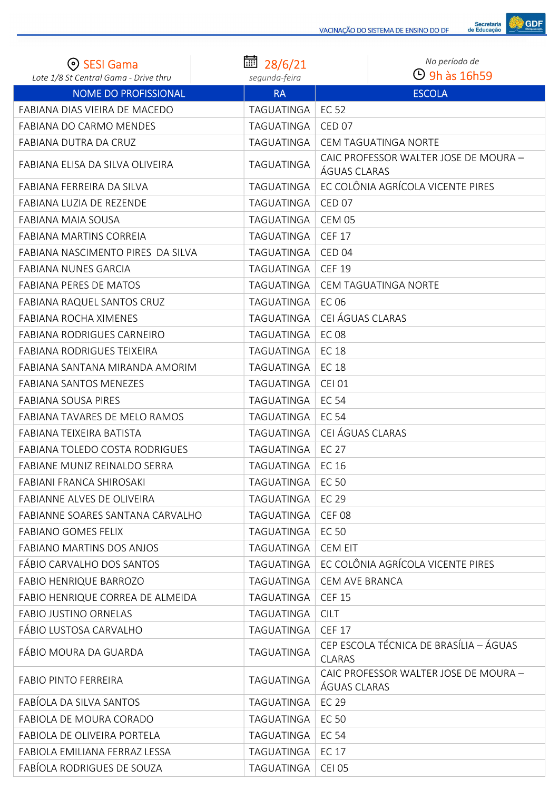| <b>ESI Gama</b>                       | 圙<br>28/6/21      | No período de                                           |
|---------------------------------------|-------------------|---------------------------------------------------------|
| Lote 1/8 St Central Gama - Drive thru | segunda-feira     | $\Theta$ 9h às 16h59                                    |
| <b>NOME DO PROFISSIONAL</b>           | <b>RA</b>         | <b>ESCOLA</b>                                           |
| FABIANA DIAS VIEIRA DE MACEDO         | TAGUATINGA        | EC 52                                                   |
| FABIANA DO CARMO MENDES               | TAGUATINGA        | <b>CED 07</b>                                           |
| FABIANA DUTRA DA CRUZ                 | <b>TAGUATINGA</b> | CEM TAGUATINGA NORTE                                    |
| FABIANA ELISA DA SILVA OLIVEIRA       | TAGUATINGA        | CAIC PROFESSOR WALTER JOSE DE MOURA -<br>ÁGUAS CLARAS   |
| FABIANA FERREIRA DA SILVA             | TAGUATINGA        | EC COLÔNIA AGRÍCOLA VICENTE PIRES                       |
| FABIANA LUZIA DE REZENDE              | TAGUATINGA        | CED <sub>07</sub>                                       |
| FABIANA MAIA SOUSA                    | TAGUATINGA        | <b>CEM 05</b>                                           |
| <b>FABIANA MARTINS CORREIA</b>        | TAGUATINGA        | <b>CEF 17</b>                                           |
| FABIANA NASCIMENTO PIRES DA SILVA     | TAGUATINGA        | CED <sub>04</sub>                                       |
| <b>FABIANA NUNES GARCIA</b>           | TAGUATINGA        | <b>CEF 19</b>                                           |
| <b>FABIANA PERES DE MATOS</b>         | TAGUATINGA        | CEM TAGUATINGA NORTE                                    |
| FABIANA RAQUEL SANTOS CRUZ            | TAGUATINGA        | <b>EC 06</b>                                            |
| <b>FABIANA ROCHA XIMENES</b>          | TAGUATINGA        | CEI ÁGUAS CLARAS                                        |
| <b>FABIANA RODRIGUES CARNEIRO</b>     | TAGUATINGA        | <b>EC 08</b>                                            |
| <b>FABIANA RODRIGUES TEIXEIRA</b>     | TAGUATINGA        | <b>EC 18</b>                                            |
| FABIANA SANTANA MIRANDA AMORIM        | TAGUATINGA        | <b>EC 18</b>                                            |
| <b>FABIANA SANTOS MENEZES</b>         | <b>TAGUATINGA</b> | <b>CEI 01</b>                                           |
| <b>FABIANA SOUSA PIRES</b>            | TAGUATINGA        | <b>EC 54</b>                                            |
| FABIANA TAVARES DE MELO RAMOS         | TAGUATINGA        | <b>EC 54</b>                                            |
| FABIANA TEIXEIRA BATISTA              | TAGUATINGA        | CEI ÁGUAS CLARAS                                        |
| FABIANA TOLEDO COSTA RODRIGUES        | TAGUATINGA        | <b>EC 27</b>                                            |
| FABIANE MUNIZ REINALDO SERRA          | TAGUATINGA        | EC 16                                                   |
| <b>FABIANI FRANCA SHIROSAKI</b>       | TAGUATINGA        | EC 50                                                   |
| FABIANNE ALVES DE OLIVEIRA            | TAGUATINGA        | <b>EC 29</b>                                            |
| FABIANNE SOARES SANTANA CARVALHO      | TAGUATINGA        | <b>CEF 08</b>                                           |
| <b>FABIANO GOMES FELIX</b>            | TAGUATINGA        | <b>EC 50</b>                                            |
| FABIANO MARTINS DOS ANJOS             | TAGUATINGA        | <b>CEM EIT</b>                                          |
| FÁBIO CARVALHO DOS SANTOS             | TAGUATINGA        | EC COLÔNIA AGRÍCOLA VICENTE PIRES                       |
| <b>FABIO HENRIQUE BARROZO</b>         | TAGUATINGA        | CEM AVE BRANCA                                          |
| FABIO HENRIQUE CORREA DE ALMEIDA      | TAGUATINGA        | <b>CEF 15</b>                                           |
| FABIO JUSTINO ORNELAS                 | TAGUATINGA        | <b>CILT</b>                                             |
| FÁBIO LUSTOSA CARVALHO                | TAGUATINGA        | <b>CEF 17</b>                                           |
| FÁBIO MOURA DA GUARDA                 | <b>TAGUATINGA</b> | CEP ESCOLA TÉCNICA DE BRASÍLIA - ÁGUAS<br><b>CLARAS</b> |
| <b>FABIO PINTO FERREIRA</b>           | TAGUATINGA        | CAIC PROFESSOR WALTER JOSE DE MOURA -<br>ÁGUAS CLARAS   |
| FABÍOLA DA SILVA SANTOS               | TAGUATINGA        | EC 29                                                   |
| FABIOLA DE MOURA CORADO               | TAGUATINGA        | <b>EC 50</b>                                            |
| FABIOLA DE OLIVEIRA PORTELA           | TAGUATINGA        | <b>EC 54</b>                                            |
| FABIOLA EMILIANA FERRAZ LESSA         | TAGUATINGA        | <b>EC 17</b>                                            |
| FABÍOLA RODRIGUES DE SOUZA            | TAGUATINGA        | <b>CEI 05</b>                                           |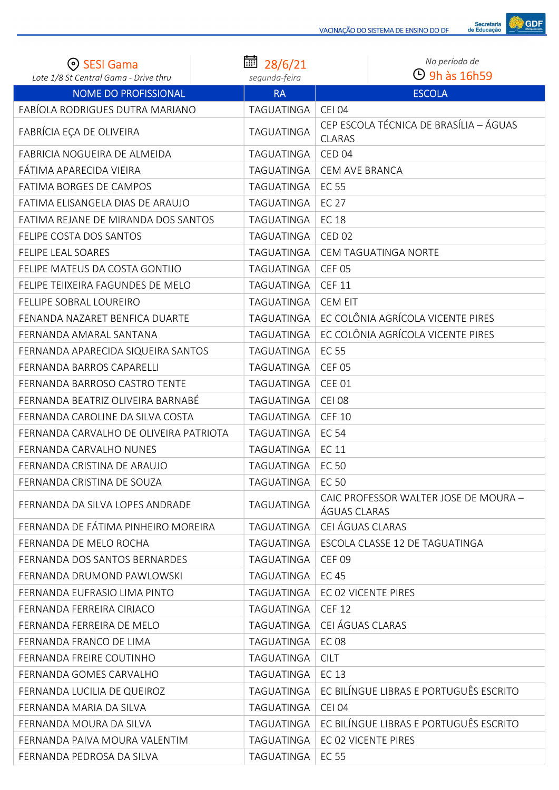

| (၈) SESI Gama                          | 圙 28/6/21         | No período de                                           |
|----------------------------------------|-------------------|---------------------------------------------------------|
| Lote 1/8 St Central Gama - Drive thru  | segunda-feira     | $\Theta$ 9h às 16h59                                    |
| <b>NOME DO PROFISSIONAL</b>            | <b>RA</b>         | <b>ESCOLA</b>                                           |
| FABÍOLA RODRIGUES DUTRA MARIANO        | TAGUATINGA        | <b>CEI 04</b>                                           |
| FABRÍCIA EÇA DE OLIVEIRA               | TAGUATINGA        | CEP ESCOLA TÉCNICA DE BRASÍLIA - ÁGUAS<br><b>CLARAS</b> |
| FABRICIA NOGUEIRA DE ALMEIDA           | TAGUATINGA        | CED <sub>04</sub>                                       |
| FÁTIMA APARECIDA VIEIRA                | TAGUATINGA        | CEM AVE BRANCA                                          |
| FATIMA BORGES DE CAMPOS                | <b>TAGUATINGA</b> | <b>EC 55</b>                                            |
| FATIMA ELISANGELA DIAS DE ARAUJO       | TAGUATINGA        | <b>EC 27</b>                                            |
| FATIMA REJANE DE MIRANDA DOS SANTOS    | TAGUATINGA        | <b>EC 18</b>                                            |
| FELIPE COSTA DOS SANTOS                | TAGUATINGA        | <b>CED 02</b>                                           |
| <b>FELIPE LEAL SOARES</b>              | TAGUATINGA        | CEM TAGUATINGA NORTE                                    |
| FELIPE MATEUS DA COSTA GONTIJO         | TAGUATINGA        | <b>CEF 05</b>                                           |
| FELIPE TEIIXEIRA FAGUNDES DE MELO      | TAGUATINGA        | <b>CEF 11</b>                                           |
| FELLIPE SOBRAL LOUREIRO                | <b>TAGUATINGA</b> | <b>CEM EIT</b>                                          |
| FENANDA NAZARET BENFICA DUARTE         | TAGUATINGA        | EC COLÔNIA AGRÍCOLA VICENTE PIRES                       |
| FERNANDA AMARAL SANTANA                | TAGUATINGA        | EC COLÔNIA AGRÍCOLA VICENTE PIRES                       |
| FERNANDA APARECIDA SIQUEIRA SANTOS     | TAGUATINGA        | <b>EC 55</b>                                            |
| FERNANDA BARROS CAPARELLI              | TAGUATINGA        | <b>CEF 05</b>                                           |
| FERNANDA BARROSO CASTRO TENTE          | TAGUATINGA        | <b>CEE 01</b>                                           |
| FERNANDA BEATRIZ OLIVEIRA BARNABÉ      | TAGUATINGA        | <b>CEI 08</b>                                           |
| FERNANDA CAROLINE DA SILVA COSTA       | TAGUATINGA        | <b>CEF 10</b>                                           |
| FERNANDA CARVALHO DE OLIVEIRA PATRIOTA | TAGUATINGA        | <b>EC 54</b>                                            |
| FERNANDA CARVALHO NUNES                | TAGUATINGA        | <b>EC 11</b>                                            |
| FERNANDA CRISTINA DE ARAUJO            | TAGUATINGA        | <b>EC 50</b>                                            |
| FERNANDA CRISTINA DE SOUZA             | TAGUATINGA        | <b>EC 50</b>                                            |
| FERNANDA DA SILVA LOPES ANDRADE        | TAGUATINGA        | CAIC PROFESSOR WALTER JOSE DE MOURA -<br>ÁGUAS CLARAS   |
| FERNANDA DE FÁTIMA PINHEIRO MOREIRA    | TAGUATINGA        | CEI ÁGUAS CLARAS                                        |
| FERNANDA DE MELO ROCHA                 | TAGUATINGA        | ESCOLA CLASSE 12 DE TAGUATINGA                          |
| FERNANDA DOS SANTOS BERNARDES          | TAGUATINGA        | <b>CEF 09</b>                                           |
| FERNANDA DRUMOND PAWLOWSKI             | TAGUATINGA        | EC 45                                                   |
| FERNANDA EUFRASIO LIMA PINTO           | TAGUATINGA        | EC 02 VICENTE PIRES                                     |
| FERNANDA FERREIRA CIRIACO              | TAGUATINGA        | <b>CEF 12</b>                                           |
| FERNANDA FERREIRA DE MELO              | TAGUATINGA        | CEI ÁGUAS CLARAS                                        |
| FERNANDA FRANCO DE LIMA                | TAGUATINGA        | <b>EC 08</b>                                            |
| FERNANDA FREIRE COUTINHO               | TAGUATINGA        | <b>CILT</b>                                             |
| FERNANDA GOMES CARVALHO                | TAGUATINGA        | EC 13                                                   |
| FERNANDA LUCILIA DE QUEIROZ            | TAGUATINGA        | EC BILÍNGUE LIBRAS E PORTUGUÊS ESCRITO                  |
| FERNANDA MARIA DA SILVA                | TAGUATINGA        | <b>CEI 04</b>                                           |
| FERNANDA MOURA DA SILVA                | TAGUATINGA        | EC BILÍNGUE LIBRAS E PORTUGUÊS ESCRITO                  |
| FERNANDA PAIVA MOURA VALENTIM          | TAGUATINGA        | EC 02 VICENTE PIRES                                     |
| FERNANDA PEDROSA DA SILVA              | TAGUATINGA        | <b>EC 55</b>                                            |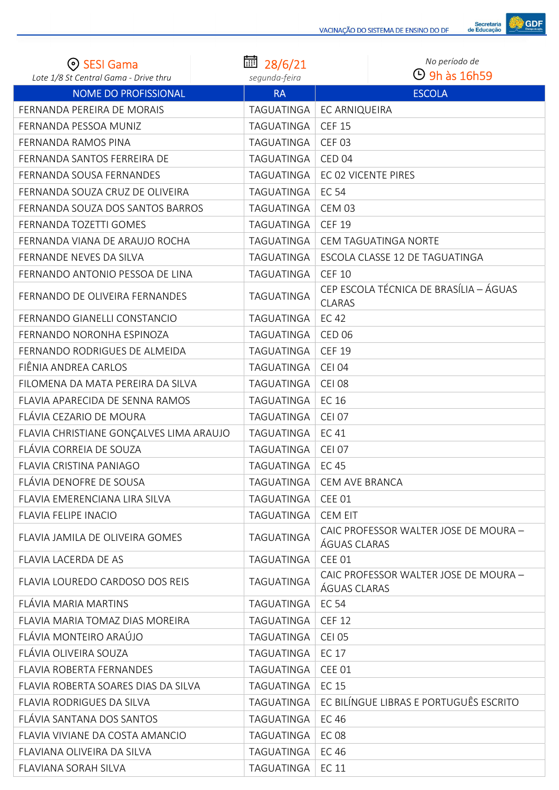

| <b>SESI Gama</b>                        | 扁<br>28/6/21      | No período de                                           |
|-----------------------------------------|-------------------|---------------------------------------------------------|
| Lote 1/8 St Central Gama - Drive thru   | segunda-feira     | $\Theta$ 9h às 16h59                                    |
| <b>NOME DO PROFISSIONAL</b>             | <b>RA</b>         | <b>ESCOLA</b>                                           |
| FERNANDA PEREIRA DE MORAIS              | TAGUATINGA        | EC ARNIQUEIRA                                           |
| FERNANDA PESSOA MUNIZ                   | TAGUATINGA        | <b>CEF 15</b>                                           |
| FERNANDA RAMOS PINA                     | TAGUATINGA        | <b>CEF 03</b>                                           |
| FERNANDA SANTOS FERREIRA DE             | TAGUATINGA        | CED <sub>04</sub>                                       |
| FERNANDA SOUSA FERNANDES                | TAGUATINGA        | EC 02 VICENTE PIRES                                     |
| FERNANDA SOUZA CRUZ DE OLIVEIRA         | TAGUATINGA        | <b>EC 54</b>                                            |
| FERNANDA SOUZA DOS SANTOS BARROS        | TAGUATINGA        | <b>CEM 03</b>                                           |
| FERNANDA TOZETTI GOMES                  | TAGUATINGA        | <b>CEF 19</b>                                           |
| FERNANDA VIANA DE ARAUJO ROCHA          | TAGUATINGA        | CEM TAGUATINGA NORTE                                    |
| FERNANDE NEVES DA SILVA                 | TAGUATINGA        | ESCOLA CLASSE 12 DE TAGUATINGA                          |
| FERNANDO ANTONIO PESSOA DE LINA         | TAGUATINGA        | <b>CEF 10</b>                                           |
| FERNANDO DE OLIVEIRA FERNANDES          | TAGUATINGA        | CEP ESCOLA TÉCNICA DE BRASÍLIA - ÁGUAS<br><b>CLARAS</b> |
| FERNANDO GIANELLI CONSTANCIO            | TAGUATINGA        | <b>EC 42</b>                                            |
| FERNANDO NORONHA ESPINOZA               | TAGUATINGA        | <b>CED 06</b>                                           |
| FERNANDO RODRIGUES DE ALMEIDA           | TAGUATINGA        | <b>CEF 19</b>                                           |
| FIÊNIA ANDREA CARLOS                    | <b>TAGUATINGA</b> | <b>CEI 04</b>                                           |
| FILOMENA DA MATA PEREIRA DA SILVA       | TAGUATINGA        | <b>CEI 08</b>                                           |
| FLAVIA APARECIDA DE SENNA RAMOS         | TAGUATINGA        | EC 16                                                   |
| FLÁVIA CEZARIO DE MOURA                 | TAGUATINGA        | <b>CEI 07</b>                                           |
| FLAVIA CHRISTIANE GONÇALVES LIMA ARAUJO | TAGUATINGA        | <b>EC41</b>                                             |
| FLÁVIA CORREIA DE SOUZA                 | TAGUATINGA        | <b>CEI 07</b>                                           |
| <b>FLAVIA CRISTINA PANIAGO</b>          | TAGUATINGA        | <b>EC 45</b>                                            |
| FLÁVIA DENOFRE DE SOUSA                 | TAGUATINGA        | <b>CEM AVE BRANCA</b>                                   |
| FLAVIA EMERENCIANA LIRA SILVA           | TAGUATINGA        | <b>CEE 01</b>                                           |
| <b>FLAVIA FELIPE INACIO</b>             | TAGUATINGA        | <b>CEM EIT</b>                                          |
| FLAVIA JAMILA DE OLIVEIRA GOMES         | TAGUATINGA        | CAIC PROFESSOR WALTER JOSE DE MOURA -<br>ÁGUAS CLARAS   |
| FLAVIA LACERDA DE AS                    | TAGUATINGA        | CEE 01                                                  |
| FLAVIA LOUREDO CARDOSO DOS REIS         | TAGUATINGA        | CAIC PROFESSOR WALTER JOSE DE MOURA -<br>ÁGUAS CLARAS   |
| FLÁVIA MARIA MARTINS                    | TAGUATINGA        | <b>EC 54</b>                                            |
| FLAVIA MARIA TOMAZ DIAS MOREIRA         | TAGUATINGA        | <b>CEF 12</b>                                           |
| FLÁVIA MONTEIRO ARAÚJO                  | TAGUATINGA        | <b>CEI 05</b>                                           |
| FLÁVIA OLIVEIRA SOUZA                   | TAGUATINGA        | <b>EC 17</b>                                            |
| <b>FLAVIA ROBERTA FERNANDES</b>         | TAGUATINGA        | <b>CEE 01</b>                                           |
| FLAVIA ROBERTA SOARES DIAS DA SILVA     | TAGUATINGA        | EC 15                                                   |
| <b>FLAVIA RODRIGUES DA SILVA</b>        | TAGUATINGA        | EC BILÍNGUE LIBRAS E PORTUGUÊS ESCRITO                  |
| FLÁVIA SANTANA DOS SANTOS               | TAGUATINGA        | <b>EC 46</b>                                            |
| FLAVIA VIVIANE DA COSTA AMANCIO         | TAGUATINGA        | <b>EC08</b>                                             |
| FLAVIANA OLIVEIRA DA SILVA              | TAGUATINGA        | <b>EC 46</b>                                            |
| FLAVIANA SORAH SILVA                    | TAGUATINGA        | <b>EC 11</b>                                            |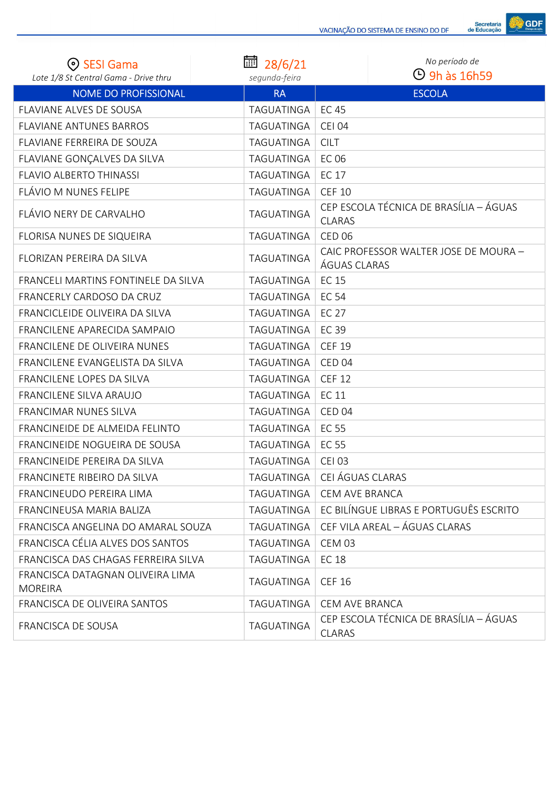

| <b>SESI Gama</b><br>Lote 1/8 St Central Gama - Drive thru | 扁<br>28/6/21<br>segunda-feira | No período de<br>$\Theta$ 9h às 16h59                   |
|-----------------------------------------------------------|-------------------------------|---------------------------------------------------------|
| <b>NOME DO PROFISSIONAL</b>                               | <b>RA</b>                     | <b>ESCOLA</b>                                           |
| <b>FLAVIANE ALVES DE SOUSA</b>                            | TAGUATINGA                    | <b>EC 45</b>                                            |
| <b>FLAVIANE ANTUNES BARROS</b>                            | TAGUATINGA                    | <b>CEI 04</b>                                           |
| FLAVIANE FERREIRA DE SOUZA                                | TAGUATINGA                    | <b>CILT</b>                                             |
| FLAVIANE GONÇALVES DA SILVA                               | TAGUATINGA                    | EC 06                                                   |
| <b>FLAVIO ALBERTO THINASSI</b>                            | TAGUATINGA                    | <b>EC 17</b>                                            |
| FLÁVIO M NUNES FELIPE                                     | TAGUATINGA                    | <b>CEF 10</b>                                           |
| FLÁVIO NERY DE CARVALHO                                   | TAGUATINGA                    | CEP ESCOLA TÉCNICA DE BRASÍLIA - ÁGUAS<br><b>CLARAS</b> |
| FLORISA NUNES DE SIQUEIRA                                 | TAGUATINGA                    | <b>CED 06</b>                                           |
| FLORIZAN PEREIRA DA SILVA                                 | TAGUATINGA                    | CAIC PROFESSOR WALTER JOSE DE MOURA -<br>ÁGUAS CLARAS   |
| FRANCELI MARTINS FONTINELE DA SILVA                       | TAGUATINGA                    | <b>EC 15</b>                                            |
| FRANCERLY CARDOSO DA CRUZ                                 | TAGUATINGA                    | <b>EC 54</b>                                            |
| FRANCICLEIDE OLIVEIRA DA SILVA                            | TAGUATINGA                    | <b>EC 27</b>                                            |
| FRANCILENE APARECIDA SAMPAIO                              | TAGUATINGA                    | <b>EC 39</b>                                            |
| FRANCILENE DE OLIVEIRA NUNES                              | TAGUATINGA                    | <b>CEF 19</b>                                           |
| FRANCILENE EVANGELISTA DA SILVA                           | TAGUATINGA                    | CED <sub>04</sub>                                       |
| FRANCILENE LOPES DA SILVA                                 | TAGUATINGA                    | <b>CEF 12</b>                                           |
| FRANCILENE SILVA ARAUJO                                   | TAGUATINGA                    | <b>EC 11</b>                                            |
| FRANCIMAR NUNES SILVA                                     | TAGUATINGA                    | CED <sub>04</sub>                                       |
| FRANCINEIDE DE ALMEIDA FELINTO                            | TAGUATINGA                    | <b>EC 55</b>                                            |
| FRANCINEIDE NOGUEIRA DE SOUSA                             | TAGUATINGA                    | <b>EC 55</b>                                            |
| FRANCINEIDE PEREIRA DA SILVA                              | TAGUATINGA                    | <b>CEI 03</b>                                           |
| FRANCINETE RIBEIRO DA SILVA                               | TAGUATINGA                    | CEI ÁGUAS CLARAS                                        |
| FRANCINEUDO PEREIRA LIMA                                  | TAGUATINGA                    | CEM AVE BRANCA                                          |
| FRANCINEUSA MARIA BALIZA                                  | TAGUATINGA                    | EC BILÍNGUE LIBRAS E PORTUGUÊS ESCRITO                  |
| FRANCISCA ANGELINA DO AMARAL SOUZA                        | TAGUATINGA                    | CEF VILA AREAL - ÁGUAS CLARAS                           |
| FRANCISCA CÉLIA ALVES DOS SANTOS                          | TAGUATINGA                    | <b>CEM 03</b>                                           |
| FRANCISCA DAS CHAGAS FERREIRA SILVA                       | TAGUATINGA                    | <b>EC 18</b>                                            |
| FRANCISCA DATAGNAN OLIVEIRA LIMA<br><b>MOREIRA</b>        | TAGUATINGA                    | <b>CEF 16</b>                                           |
| FRANCISCA DE OLIVEIRA SANTOS                              | TAGUATINGA                    | CEM AVE BRANCA                                          |
| FRANCISCA DE SOUSA                                        | TAGUATINGA                    | CEP ESCOLA TÉCNICA DE BRASÍLIA - ÁGUAS<br><b>CLARAS</b> |